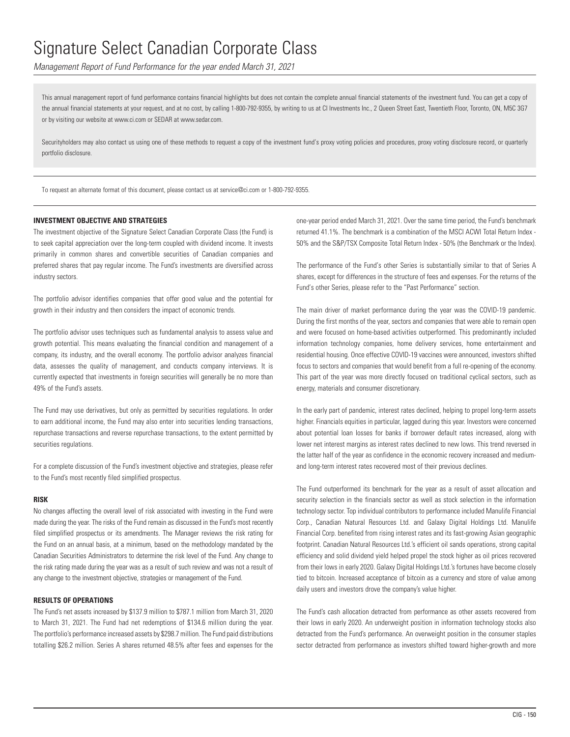*Management Report of Fund Performance for the year ended March 31, 2021*

This annual management report of fund performance contains financial highlights but does not contain the complete annual financial statements of the investment fund. You can get a copy of the annual financial statements at your request, and at no cost, by calling 1-800-792-9355, by writing to us at CI Investments Inc., 2 Queen Street East, Twentieth Floor, Toronto, ON, M5C 3G7 or by visiting our website at www.ci.com or SEDAR at www.sedar.com.

Securityholders may also contact us using one of these methods to request a copy of the investment fund's proxy voting policies and procedures, proxy voting disclosure record, or quarterly portfolio disclosure.

To request an alternate format of this document, please contact us at service@ci.com or 1-800-792-9355.

### **INVESTMENT OBJECTIVE AND STRATEGIES**

The investment objective of the Signature Select Canadian Corporate Class (the Fund) is to seek capital appreciation over the long-term coupled with dividend income. It invests primarily in common shares and convertible securities of Canadian companies and preferred shares that pay regular income. The Fund's investments are diversified across industry sectors.

The portfolio advisor identifies companies that offer good value and the potential for growth in their industry and then considers the impact of economic trends.

The portfolio advisor uses techniques such as fundamental analysis to assess value and growth potential. This means evaluating the financial condition and management of a company, its industry, and the overall economy. The portfolio advisor analyzes financial data, assesses the quality of management, and conducts company interviews. It is currently expected that investments in foreign securities will generally be no more than 49% of the Fund's assets.

The Fund may use derivatives, but only as permitted by securities regulations. In order to earn additional income, the Fund may also enter into securities lending transactions, repurchase transactions and reverse repurchase transactions, to the extent permitted by securities regulations.

For a complete discussion of the Fund's investment objective and strategies, please refer to the Fund's most recently filed simplified prospectus.

#### **RISK**

No changes affecting the overall level of risk associated with investing in the Fund were made during the year. The risks of the Fund remain as discussed in the Fund's most recently filed simplified prospectus or its amendments. The Manager reviews the risk rating for the Fund on an annual basis, at a minimum, based on the methodology mandated by the Canadian Securities Administrators to determine the risk level of the Fund. Any change to the risk rating made during the year was as a result of such review and was not a result of any change to the investment objective, strategies or management of the Fund.

### **RESULTS OF OPERATIONS**

The Fund's net assets increased by \$137.9 million to \$787.1 million from March 31, 2020 to March 31, 2021. The Fund had net redemptions of \$134.6 million during the year. The portfolio's performance increased assets by \$298.7 million. The Fund paid distributions totalling \$26.2 million. Series A shares returned 48.5% after fees and expenses for the one-year period ended March 31, 2021. Over the same time period, the Fund's benchmark returned 41.1%. The benchmark is a combination of the MSCI ACWI Total Return Index - 50% and the S&P/TSX Composite Total Return Index - 50% (the Benchmark or the Index).

The performance of the Fund's other Series is substantially similar to that of Series A shares, except for differences in the structure of fees and expenses. For the returns of the Fund's other Series, please refer to the "Past Performance" section.

The main driver of market performance during the year was the COVID-19 pandemic. During the first months of the year, sectors and companies that were able to remain open and were focused on home-based activities outperformed. This predominantly included information technology companies, home delivery services, home entertainment and residential housing. Once effective COVID-19 vaccines were announced, investors shifted focus to sectors and companies that would benefit from a full re-opening of the economy. This part of the year was more directly focused on traditional cyclical sectors, such as energy, materials and consumer discretionary.

In the early part of pandemic, interest rates declined, helping to propel long-term assets higher. Financials equities in particular, lagged during this year. Investors were concerned about potential loan losses for banks if borrower default rates increased, along with lower net interest margins as interest rates declined to new lows. This trend reversed in the latter half of the year as confidence in the economic recovery increased and mediumand long-term interest rates recovered most of their previous declines.

The Fund outperformed its benchmark for the year as a result of asset allocation and security selection in the financials sector as well as stock selection in the information technology sector. Top individual contributors to performance included Manulife Financial Corp., Canadian Natural Resources Ltd. and Galaxy Digital Holdings Ltd. Manulife Financial Corp. benefited from rising interest rates and its fast-growing Asian geographic footprint. Canadian Natural Resources Ltd.'s efficient oil sands operations, strong capital efficiency and solid dividend yield helped propel the stock higher as oil prices recovered from their lows in early 2020. Galaxy Digital Holdings Ltd.'s fortunes have become closely tied to bitcoin. Increased acceptance of bitcoin as a currency and store of value among daily users and investors drove the company's value higher.

The Fund's cash allocation detracted from performance as other assets recovered from their lows in early 2020. An underweight position in information technology stocks also detracted from the Fund's performance. An overweight position in the consumer staples sector detracted from performance as investors shifted toward higher-growth and more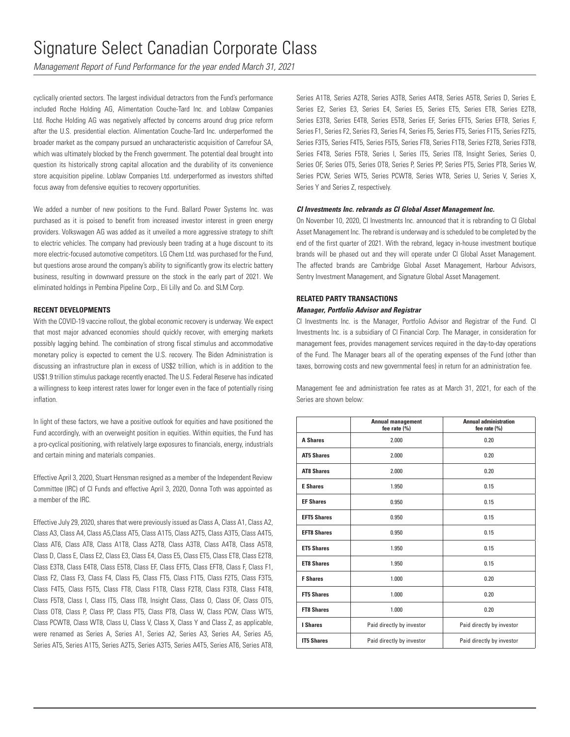*Management Report of Fund Performance for the year ended March 31, 2021*

cyclically oriented sectors. The largest individual detractors from the Fund's performance included Roche Holding AG, Alimentation Couche-Tard Inc. and Loblaw Companies Ltd. Roche Holding AG was negatively affected by concerns around drug price reform after the U.S. presidential election. Alimentation Couche-Tard Inc. underperformed the broader market as the company pursued an uncharacteristic acquisition of Carrefour SA, which was ultimately blocked by the French government. The potential deal brought into question its historically strong capital allocation and the durability of its convenience store acquisition pipeline. Loblaw Companies Ltd. underperformed as investors shifted focus away from defensive equities to recovery opportunities.

We added a number of new positions to the Fund. Ballard Power Systems Inc. was purchased as it is poised to benefit from increased investor interest in green energy providers. Volkswagen AG was added as it unveiled a more aggressive strategy to shift to electric vehicles. The company had previously been trading at a huge discount to its more electric-focused automotive competitors. LG Chem Ltd. was purchased for the Fund, but questions arose around the company's ability to significantly grow its electric battery business, resulting in downward pressure on the stock in the early part of 2021. We eliminated holdings in Pembina Pipeline Corp., Eli Lilly and Co. and SLM Corp.

### **RECENT DEVELOPMENTS**

With the COVID-19 vaccine rollout, the global economic recovery is underway. We expect that most major advanced economies should quickly recover, with emerging markets possibly lagging behind. The combination of strong fiscal stimulus and accommodative monetary policy is expected to cement the U.S. recovery. The Biden Administration is discussing an infrastructure plan in excess of US\$2 trillion, which is in addition to the US\$1.9 trillion stimulus package recently enacted. The U.S. Federal Reserve has indicated a willingness to keep interest rates lower for longer even in the face of potentially rising inflation.

In light of these factors, we have a positive outlook for equities and have positioned the Fund accordingly, with an overweight position in equities. Within equities, the Fund has a pro-cyclical positioning, with relatively large exposures to financials, energy, industrials and certain mining and materials companies.

Effective April 3, 2020, Stuart Hensman resigned as a member of the Independent Review Committee (IRC) of CI Funds and effective April 3, 2020, Donna Toth was appointed as a member of the IRC.

Effective July 29, 2020, shares that were previously issued as Class A, Class A1, Class A2, Class A3, Class A4, Class A5,Class AT5, Class A1T5, Class A2T5, Class A3T5, Class A4T5, Class AT6, Class AT8, Class A1T8, Class A2T8, Class A3T8, Class A4T8, Class A5T8, Class D, Class E, Class E2, Class E3, Class E4, Class E5, Class ET5, Class ET8, Class E2T8, Class E3T8, Class E4T8, Class E5T8, Class EF, Class EFT5, Class EFT8, Class F, Class F1, Class F2, Class F3, Class F4, Class F5, Class FT5, Class F1T5, Class F2T5, Class F3T5, Class F4T5, Class F5T5, Class FT8, Class F1T8, Class F2T8, Class F3T8, Class F4T8, Class F5T8, Class I, Class IT5, Class IT8, Insight Class, Class O, Class OF, Class OT5, Class OT8, Class P, Class PP, Class PT5, Class PT8, Class W, Class PCW, Class WT5, Class PCWT8, Class WT8, Class U, Class V, Class X, Class Y and Class Z, as applicable, were renamed as Series A, Series A1, Series A2, Series A3, Series A4, Series A5, Series AT5, Series A1T5, Series A2T5, Series A3T5, Series A4T5, Series AT6, Series AT8, Series A1T8, Series A2T8, Series A3T8, Series A4T8, Series A5T8, Series D, Series E, Series E2, Series E3, Series E4, Series E5, Series ET5, Series ET8, Series E2T8, Series E3T8, Series E4T8, Series E5T8, Series EF, Series EFT5, Series EFT8, Series F, Series F1, Series F2, Series F3, Series F4, Series F5, Series FT5, Series F1T5, Series F2T5, Series F3T5, Series F4T5, Series F5T5, Series FT8, Series F1T8, Series F2T8, Series F3T8, Series F4T8, Series F5T8, Series I, Series IT5, Series IT8, Insight Series, Series O, Series OF, Series OT5, Series OT8, Series P, Series PP, Series PT5, Series PT8, Series W, Series PCW, Series WT5, Series PCWT8, Series WT8, Series U, Series V, Series X, Series Y and Series Z, respectively.

### *CI Investments Inc. rebrands as CI Global Asset Management Inc.*

On November 10, 2020, CI Investments Inc. announced that it is rebranding to CI Global Asset Management Inc. The rebrand is underway and is scheduled to be completed by the end of the first quarter of 2021. With the rebrand, legacy in-house investment boutique brands will be phased out and they will operate under CI Global Asset Management. The affected brands are Cambridge Global Asset Management, Harbour Advisors, Sentry Investment Management, and Signature Global Asset Management.

### **RELATED PARTY TRANSACTIONS**

#### *Manager, Portfolio Advisor and Registrar*

CI Investments Inc. is the Manager, Portfolio Advisor and Registrar of the Fund. CI Investments Inc. is a subsidiary of CI Financial Corp. The Manager, in consideration for management fees, provides management services required in the day-to-day operations of the Fund. The Manager bears all of the operating expenses of the Fund (other than taxes, borrowing costs and new governmental fees) in return for an administration fee.

Management fee and administration fee rates as at March 31, 2021, for each of the Series are shown below:

|                    | <b>Annual management</b><br>fee rate (%) | <b>Annual administration</b><br>fee rate (%) |
|--------------------|------------------------------------------|----------------------------------------------|
| <b>A Shares</b>    | 2.000                                    | 0.20                                         |
| <b>AT5 Shares</b>  | 2.000                                    | 0.20                                         |
| <b>AT8 Shares</b>  | 2.000                                    | 0.20                                         |
| <b>E</b> Shares    | 1.950                                    | 0.15                                         |
| <b>EF Shares</b>   | 0.950                                    | 0.15                                         |
| <b>EFT5 Shares</b> | 0.950                                    | 0.15                                         |
| <b>EFT8 Shares</b> | 0.950                                    | 0.15                                         |
| <b>ET5 Shares</b>  | 1.950                                    | 0.15                                         |
| <b>ET8 Shares</b>  | 1.950                                    | 0.15                                         |
| <b>F</b> Shares    | 1.000                                    | 0.20                                         |
| <b>FT5 Shares</b>  | 1.000                                    | 0.20                                         |
| <b>FT8 Shares</b>  | 1.000                                    | 0.20                                         |
| I Shares           | Paid directly by investor                | Paid directly by investor                    |
| <b>IT5 Shares</b>  | Paid directly by investor                | Paid directly by investor                    |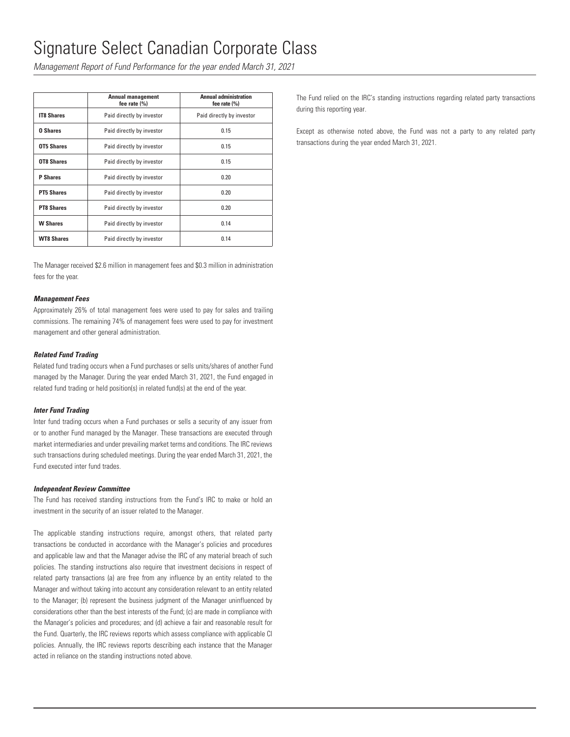*Management Report of Fund Performance for the year ended March 31, 2021*

|                   | <b>Annual management</b><br>fee rate $(\% )$ | <b>Annual administration</b><br>fee rate $(\%)$ |
|-------------------|----------------------------------------------|-------------------------------------------------|
| <b>IT8 Shares</b> | Paid directly by investor                    | Paid directly by investor                       |
| <b>0 Shares</b>   | Paid directly by investor                    | 0.15                                            |
| OT5 Shares        | Paid directly by investor                    | 0.15                                            |
| OT8 Shares        | Paid directly by investor                    | 0.15                                            |
| <b>P</b> Shares   | Paid directly by investor                    | 0.20                                            |
| <b>PT5 Shares</b> | Paid directly by investor                    | 0.20                                            |
| <b>PT8 Shares</b> | Paid directly by investor                    | 0.20                                            |
| <b>W</b> Shares   | Paid directly by investor                    | 0.14                                            |
| <b>WT8 Shares</b> | Paid directly by investor                    | 0.14                                            |

The Manager received \$2.6 million in management fees and \$0.3 million in administration fees for the year.

### *Management Fees*

Approximately 26% of total management fees were used to pay for sales and trailing commissions. The remaining 74% of management fees were used to pay for investment management and other general administration.

### *Related Fund Trading*

Related fund trading occurs when a Fund purchases or sells units/shares of another Fund managed by the Manager. During the year ended March 31, 2021, the Fund engaged in related fund trading or held position(s) in related fund(s) at the end of the year.

### *Inter Fund Trading*

Inter fund trading occurs when a Fund purchases or sells a security of any issuer from or to another Fund managed by the Manager. These transactions are executed through market intermediaries and under prevailing market terms and conditions. The IRC reviews such transactions during scheduled meetings. During the year ended March 31, 2021, the Fund executed inter fund trades.

### *Independent Review Committee*

The Fund has received standing instructions from the Fund's IRC to make or hold an investment in the security of an issuer related to the Manager.

The applicable standing instructions require, amongst others, that related party transactions be conducted in accordance with the Manager's policies and procedures and applicable law and that the Manager advise the IRC of any material breach of such policies. The standing instructions also require that investment decisions in respect of related party transactions (a) are free from any influence by an entity related to the Manager and without taking into account any consideration relevant to an entity related to the Manager; (b) represent the business judgment of the Manager uninfluenced by considerations other than the best interests of the Fund; (c) are made in compliance with the Manager's policies and procedures; and (d) achieve a fair and reasonable result for the Fund. Quarterly, the IRC reviews reports which assess compliance with applicable CI policies. Annually, the IRC reviews reports describing each instance that the Manager acted in reliance on the standing instructions noted above.

The Fund relied on the IRC's standing instructions regarding related party transactions during this reporting year.

Except as otherwise noted above, the Fund was not a party to any related party transactions during the year ended March 31, 2021.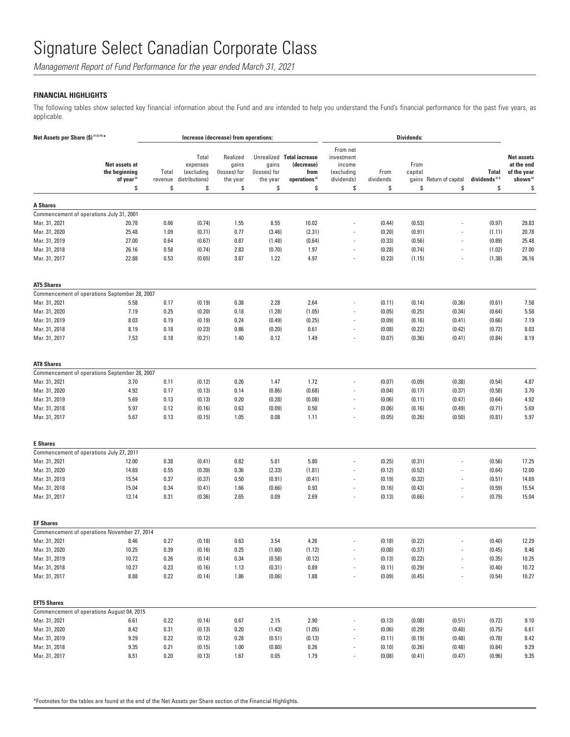*Management Report of Fund Performance for the year ended March 31, 2021*

## **FINANCIAL HIGHLIGHTS**

The following tables show selected key financial information about the Fund and are intended to help you understand the Fund's financial performance for the past five years, as applicable.

| Net Assets per Share (\$) <sup>(1)(2)(4)*</sup> |                                                                |                        |                                                         | Increase (decrease) from operations:                |                                         |                                                                                    |                                                                    |                         | <b>Dividends:</b>              |                          |                                          |                                                                              |
|-------------------------------------------------|----------------------------------------------------------------|------------------------|---------------------------------------------------------|-----------------------------------------------------|-----------------------------------------|------------------------------------------------------------------------------------|--------------------------------------------------------------------|-------------------------|--------------------------------|--------------------------|------------------------------------------|------------------------------------------------------------------------------|
|                                                 | Net assets at<br>the beginning<br>of year <sup>(2)</sup><br>\$ | Total<br>revenue<br>\$ | Total<br>expenses<br>(excluding<br>distributions)<br>\$ | Realized<br>gains<br>(losses) for<br>the year<br>\$ | gains<br>(losses) for<br>the year<br>\$ | Unrealized Total increase<br>(decrease)<br>from<br>operations <sup>(2)</sup><br>\$ | From net<br>investment<br>income<br>(excluding<br>dividends)<br>\$ | From<br>dividends<br>\$ | From<br>capital<br>gains<br>\$ | Return of capital<br>\$  | Total<br>dividends <sup>2,3)</sup><br>\$ | <b>Net assets</b><br>at the end<br>of the year<br>shown <sup>(2)</sup><br>\$ |
|                                                 |                                                                |                        |                                                         |                                                     |                                         |                                                                                    |                                                                    |                         |                                |                          |                                          |                                                                              |
| <b>A Shares</b>                                 |                                                                |                        |                                                         |                                                     |                                         |                                                                                    |                                                                    |                         |                                |                          |                                          |                                                                              |
| Mar. 31, 2021                                   | Commencement of operations July 31, 2001<br>20.78              | 0.66                   | (0.74)                                                  | 1.55                                                | 8.55                                    | 10.02                                                                              | $\overline{a}$                                                     | (0.44)                  | (0.53)                         |                          | (0.97)                                   | 29.83                                                                        |
| Mar. 31, 2020                                   | 25.48                                                          | 1.09                   | (0.71)                                                  | 0.77                                                | (3.46)                                  | (2.31)                                                                             |                                                                    | (0.20)                  | (0.91)                         |                          | (1.11)                                   | 20.78                                                                        |
| Mar. 31, 2019                                   | 27.00                                                          | 0.64                   | (0.67)                                                  | 0.87                                                | (1.48)                                  | (0.64)                                                                             | $\overline{a}$                                                     | (0.33)                  | (0.56)                         |                          | (0.89)                                   | 25.48                                                                        |
| Mar. 31, 2018                                   | 26.16                                                          | 0.58                   | (0.74)                                                  | 2.83                                                | (0.70)                                  | 1.97                                                                               |                                                                    | (0.28)                  | (0.74)                         |                          | (1.02)                                   | 27.00                                                                        |
| Mar. 31, 2017                                   | 22.88                                                          | 0.53                   | (0.65)                                                  | 3.87                                                | 1.22                                    | 4.97                                                                               | $\overline{\phantom{a}}$                                           | (0.23)                  | (1.15)                         | $\overline{\phantom{a}}$ | (1.38)                                   | 26.16                                                                        |
| <b>AT5 Shares</b>                               |                                                                |                        |                                                         |                                                     |                                         |                                                                                    |                                                                    |                         |                                |                          |                                          |                                                                              |
|                                                 | Commencement of operations September 28, 2007                  |                        |                                                         |                                                     |                                         |                                                                                    |                                                                    |                         |                                |                          |                                          |                                                                              |
| Mar. 31, 2021                                   | 5.58                                                           | 0.17                   | (0.19)                                                  | 0.38                                                | 2.28                                    | 2.64                                                                               |                                                                    | (0.11)                  | (0.14)                         | (0.36)                   | (0.61)                                   | 7.58                                                                         |
| Mar. 31, 2020                                   | 7.19                                                           | 0.25                   | (0.20)                                                  | 0.18                                                | (1.28)                                  | (1.05)                                                                             |                                                                    | (0.05)                  | (0.25)                         | (0.34)                   | (0.64)                                   | 5.58                                                                         |
| Mar. 31, 2019                                   | 8.03                                                           | 0.19                   | (0.19)                                                  | 0.24                                                | (0.49)                                  | (0.25)                                                                             | $\overline{a}$                                                     | (0.09)                  | (0.16)                         | (0.41)                   | (0.66)                                   | 7.19                                                                         |
| Mar. 31, 2018                                   | 8.19                                                           | 0.18                   | (0.23)                                                  | 0.86                                                | (0.20)                                  | 0.61                                                                               | ÷,                                                                 | (0.08)                  | (0.22)                         | (0.42)                   | (0.72)                                   | 8.03                                                                         |
| Mar. 31, 2017                                   | 7.53                                                           | 0.18                   | (0.21)                                                  | 1.40                                                | 0.12                                    | 1.49                                                                               | $\overline{\phantom{a}}$                                           | (0.07)                  | (0.36)                         | (0.41)                   | (0.84)                                   | 8.19                                                                         |
| <b>AT8 Shares</b>                               |                                                                |                        |                                                         |                                                     |                                         |                                                                                    |                                                                    |                         |                                |                          |                                          |                                                                              |
|                                                 | Commencement of operations September 28, 2007                  |                        |                                                         |                                                     |                                         |                                                                                    |                                                                    |                         |                                |                          |                                          |                                                                              |
| Mar. 31, 2021                                   | 3.70                                                           | 0.11                   | (0.12)                                                  | 0.26                                                | 1.47                                    | 1.72                                                                               |                                                                    | (0.07)                  | (0.09)                         | (0.38)                   | (0.54)                                   | 4.87                                                                         |
| Mar. 31, 2020                                   | 4.92                                                           | 0.17                   | (0.13)                                                  | 0.14                                                | (0.86)                                  | (0.68)                                                                             | $\overline{a}$                                                     | (0.04)                  | (0.17)                         | (0.37)                   | (0.58)                                   | 3.70                                                                         |
| Mar. 31, 2019                                   | 5.69                                                           | 0.13                   | (0.13)                                                  | 0.20                                                | (0.28)                                  | (0.08)                                                                             |                                                                    | (0.06)                  | (0.11)                         | (0.47)                   | (0.64)                                   | 4.92                                                                         |
| Mar. 31, 2018<br>Mar. 31, 2017                  | 5.97<br>5.67                                                   | 0.12<br>0.13           | (0.16)<br>(0.15)                                        | 0.63<br>1.05                                        | (0.09)<br>0.08                          | 0.50<br>1.11                                                                       | $\overline{a}$<br>$\overline{a}$                                   | (0.06)<br>(0.05)        | (0.16)<br>(0.26)               | (0.49)<br>(0.50)         | (0.71)<br>(0.81)                         | 5.69<br>5.97                                                                 |
| <b>E</b> Shares                                 |                                                                |                        |                                                         |                                                     |                                         |                                                                                    |                                                                    |                         |                                |                          |                                          |                                                                              |
|                                                 | Commencement of operations July 27, 2011                       |                        |                                                         |                                                     |                                         |                                                                                    |                                                                    |                         |                                |                          |                                          |                                                                              |
| Mar. 31, 2021                                   | 12.00                                                          | 0.38                   | (0.41)                                                  | 0.82                                                | 5.01                                    | 5.80                                                                               |                                                                    | (0.25)                  | (0.31)                         |                          | (0.56)                                   | 17.25                                                                        |
| Mar. 31, 2020                                   | 14.69                                                          | 0.55                   | (0.39)                                                  | 0.36                                                | (2.33)                                  | (1.81)                                                                             |                                                                    | (0.12)                  | (0.52)                         |                          | (0.64)                                   | 12.00                                                                        |
| Mar. 31, 2019                                   | 15.54                                                          | 0.37                   | (0.37)                                                  | 0.50                                                | (0.91)                                  | (0.41)                                                                             | $\overline{\phantom{a}}$                                           | (0.19)                  | (0.32)                         | $\overline{\phantom{a}}$ | (0.51)                                   | 14.69                                                                        |
| Mar. 31, 2018                                   | 15.04                                                          | 0.34                   | (0.41)                                                  | 1.66                                                | (0.66)                                  | 0.93                                                                               | $\overline{a}$                                                     | (0.16)                  | (0.43)                         | $\overline{\phantom{a}}$ | (0.59)                                   | 15.54                                                                        |
| Mar. 31, 2017                                   | 13.14                                                          | 0.31                   | (0.36)                                                  | 2.65                                                | 0.09                                    | 2.69                                                                               | $\overline{\phantom{m}}$                                           | (0.13)                  | (0.66)                         | $\overline{\phantom{a}}$ | (0.79)                                   | 15.04                                                                        |
| <b>EF Shares</b>                                |                                                                |                        |                                                         |                                                     |                                         |                                                                                    |                                                                    |                         |                                |                          |                                          |                                                                              |
|                                                 | Commencement of operations November 27, 2014                   |                        |                                                         |                                                     |                                         |                                                                                    |                                                                    |                         |                                |                          |                                          |                                                                              |
| Mar. 31, 2021                                   | 8.46                                                           | 0.27                   | (0.18)                                                  | 0.63                                                | 3.54                                    | 4.26                                                                               |                                                                    | (0.18)                  | (0.22)                         |                          | (0.40)                                   | 12.29                                                                        |
| Mar. 31, 2020                                   | 10.25                                                          | 0.39                   | (0.16)                                                  | <b>U.25</b>                                         | (1.60)                                  | (1.12)                                                                             |                                                                    | (0.08)                  | (0.37)                         |                          | (0.45)                                   | 8.46                                                                         |
| Mar. 31, 2019                                   | 10.72                                                          | 0.26                   | (0.14)                                                  | 0.34                                                | (0.58)                                  | (0.12)                                                                             | $\overline{\phantom{a}}$                                           | (0.13)                  | (0.22)                         |                          | (0.35)                                   | 10.25                                                                        |
| Mar. 31, 2018                                   | 10.27                                                          | 0.23                   | (0.16)                                                  | 1.13                                                | (0.31)                                  | 0.89                                                                               |                                                                    | (0.11)                  | (0.29)                         |                          | (0.40)                                   | 10.72                                                                        |
| Mar. 31, 2017                                   | 8.88                                                           | 0.22                   | (0.14)                                                  | 1.86                                                | (0.06)                                  | 1.88                                                                               | $\overline{\phantom{a}}$                                           | (0.09)                  | (0.45)                         | $\overline{\phantom{a}}$ | (0.54)                                   | 10.27                                                                        |
| <b>EFT5 Shares</b>                              |                                                                |                        |                                                         |                                                     |                                         |                                                                                    |                                                                    |                         |                                |                          |                                          |                                                                              |
|                                                 | Commencement of operations August 04, 2015                     |                        |                                                         |                                                     |                                         |                                                                                    |                                                                    |                         |                                |                          |                                          |                                                                              |
| Mar. 31, 2021                                   | 6.61                                                           | 0.22                   | (0.14)                                                  | 0.67                                                | 2.15                                    | 2.90                                                                               |                                                                    | (0.13)                  | (0.08)                         | (0.51)                   | (0.72)                                   | 9.10                                                                         |
| Mar. 31, 2020                                   | 8.42                                                           | 0.31                   | (0.13)                                                  | 0.20                                                | (1.43)                                  | (1.05)                                                                             |                                                                    | (0.06)                  | (0.29)                         | (0.40)                   | (0.75)                                   | 6.61                                                                         |
| Mar. 31, 2019                                   | 9.29                                                           | 0.22                   | (0.12)                                                  | 0.28                                                | (0.51)                                  | (0.13)                                                                             | $\overline{\phantom{a}}$                                           | (0.11)                  | (0.19)                         | (0.48)                   | (0.78)                                   | 8.42                                                                         |
| Mar. 31, 2018                                   | 9.35                                                           | 0.21                   | (0.15)                                                  | 1.00                                                | (0.80)                                  | 0.26                                                                               | $\overline{\phantom{a}}$                                           | (0.10)                  | (0.26)                         | (0.48)                   | (0.84)                                   | 9.29                                                                         |
| Mar. 31, 2017                                   | 8.51                                                           | 0.20                   | (0.13)                                                  | 1.67                                                | 0.05                                    | 1.79                                                                               | $\overline{\phantom{a}}$                                           | (0.08)                  | (0.41)                         | (0.47)                   | (0.96)                                   | 9.35                                                                         |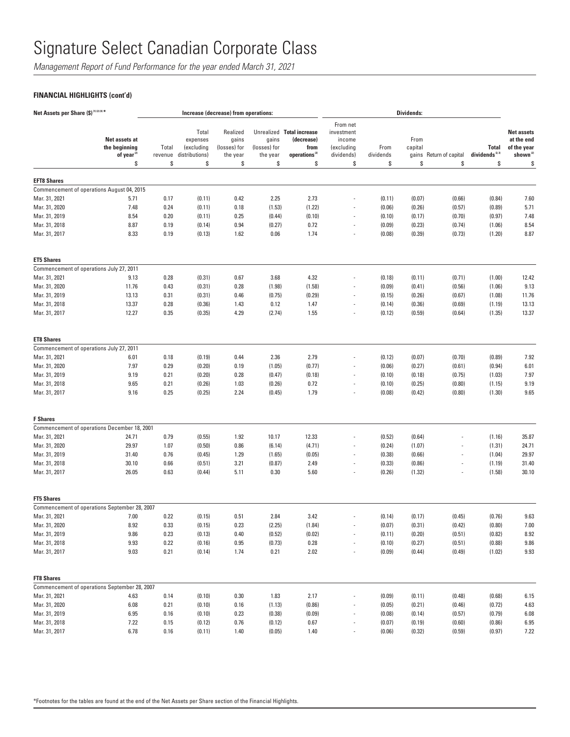*Management Report of Fund Performance for the year ended March 31, 2021*

## **FINANCIAL HIGHLIGHTS (cont'd)**

| Net Assets per Share (\$) (1) (2) (4) *<br>Increase (decrease) from operations:<br><b>Dividends:</b> |                                                                |                        |                                                         |                                                     |                                         |                                                                                    |                                                                    |                         |                                |                          |                                                  |                                                                              |
|------------------------------------------------------------------------------------------------------|----------------------------------------------------------------|------------------------|---------------------------------------------------------|-----------------------------------------------------|-----------------------------------------|------------------------------------------------------------------------------------|--------------------------------------------------------------------|-------------------------|--------------------------------|--------------------------|--------------------------------------------------|------------------------------------------------------------------------------|
|                                                                                                      | Net assets at<br>the beginning<br>of year <sup>(2)</sup><br>\$ | Total<br>revenue<br>\$ | Total<br>expenses<br>(excluding<br>distributions)<br>\$ | Realized<br>gains<br>(losses) for<br>the year<br>\$ | gains<br>(losses) for<br>the year<br>\$ | Unrealized Total increase<br>(decrease)<br>from<br>operations <sup>(2)</sup><br>\$ | From net<br>investment<br>income<br>(excluding<br>dividends)<br>\$ | From<br>dividends<br>\$ | From<br>capital<br>gains<br>\$ | Return of capital<br>\$  | <b>Total</b><br>dividends <sup>(2,3)</sup><br>\$ | <b>Net assets</b><br>at the end<br>of the year<br>shown <sup>(2)</sup><br>\$ |
|                                                                                                      |                                                                |                        |                                                         |                                                     |                                         |                                                                                    |                                                                    |                         |                                |                          |                                                  |                                                                              |
| <b>EFT8 Shares</b>                                                                                   |                                                                |                        |                                                         |                                                     |                                         |                                                                                    |                                                                    |                         |                                |                          |                                                  |                                                                              |
|                                                                                                      | Commencement of operations August 04, 2015                     |                        |                                                         |                                                     |                                         |                                                                                    |                                                                    |                         |                                |                          |                                                  |                                                                              |
| Mar. 31, 2021                                                                                        | 5.71                                                           | 0.17                   | (0.11)                                                  | 0.42                                                | 2.25                                    | 2.73                                                                               |                                                                    | (0.11)                  | (0.07)                         | (0.66)                   | (0.84)                                           | 7.60                                                                         |
| Mar. 31, 2020<br>Mar. 31, 2019                                                                       | 7.48<br>8.54                                                   | 0.24<br>0.20           | (0.11)<br>(0.11)                                        | 0.18<br>0.25                                        | (1.53)<br>(0.44)                        | (1.22)<br>(0.10)                                                                   | ٠                                                                  | (0.06)<br>(0.10)        | (0.26)<br>(0.17)               | (0.57)<br>(0.70)         | (0.89)<br>(0.97)                                 | 5.71<br>7.48                                                                 |
| Mar. 31, 2018                                                                                        | 8.87                                                           | 0.19                   | (0.14)                                                  | 0.94                                                | (0.27)                                  | 0.72                                                                               | $\overline{\phantom{m}}$                                           | (0.09)                  | (0.23)                         | (0.74)                   | (1.06)                                           | 8.54                                                                         |
| Mar. 31, 2017                                                                                        | 8.33                                                           | 0.19                   | (0.13)                                                  | 1.62                                                | 0.06                                    | 1.74                                                                               | $\overline{\phantom{a}}$                                           | (0.08)                  | (0.39)                         | (0.73)                   | (1.20)                                           | 8.87                                                                         |
| <b>ET5 Shares</b>                                                                                    |                                                                |                        |                                                         |                                                     |                                         |                                                                                    |                                                                    |                         |                                |                          |                                                  |                                                                              |
| Commencement of operations July 27, 2011                                                             |                                                                |                        |                                                         |                                                     |                                         |                                                                                    |                                                                    |                         |                                |                          |                                                  |                                                                              |
| Mar. 31, 2021                                                                                        | 9.13                                                           | 0.28                   | (0.31)                                                  | 0.67                                                | 3.68                                    | 4.32                                                                               |                                                                    | (0.18)                  | (0.11)                         | (0.71)                   | (1.00)                                           | 12.42                                                                        |
| Mar. 31, 2020                                                                                        | 11.76                                                          | 0.43                   | (0.31)                                                  | 0.28                                                | (1.98)                                  | (1.58)                                                                             | $\overline{a}$                                                     | (0.09)                  | (0.41)                         | (0.56)                   | (1.06)                                           | 9.13                                                                         |
| Mar. 31, 2019                                                                                        | 13.13                                                          | 0.31                   | (0.31)                                                  | 0.46                                                | (0.75)                                  | (0.29)                                                                             | $\overline{\phantom{a}}$                                           | (0.15)                  | (0.26)                         | (0.67)                   | (1.08)                                           | 11.76                                                                        |
| Mar. 31, 2018                                                                                        | 13.37                                                          | 0.28                   | (0.36)                                                  | 1.43                                                | 0.12                                    | 1.47                                                                               | $\overline{a}$                                                     | (0.14)                  | (0.36)                         | (0.69)                   | (1.19)                                           | 13.13                                                                        |
| Mar. 31, 2017                                                                                        | 12.27                                                          | 0.35                   | (0.35)                                                  | 4.29                                                | (2.74)                                  | 1.55                                                                               |                                                                    | (0.12)                  | (0.59)                         | (0.64)                   | (1.35)                                           | 13.37                                                                        |
| <b>ET8 Shares</b>                                                                                    |                                                                |                        |                                                         |                                                     |                                         |                                                                                    |                                                                    |                         |                                |                          |                                                  |                                                                              |
| Commencement of operations July 27, 2011                                                             |                                                                |                        |                                                         |                                                     |                                         |                                                                                    |                                                                    |                         |                                |                          |                                                  |                                                                              |
| Mar. 31, 2021                                                                                        | 6.01                                                           | 0.18                   | (0.19)                                                  | 0.44                                                | 2.36                                    | 2.79                                                                               |                                                                    | (0.12)                  | (0.07)                         | (0.70)                   | (0.89)                                           | 7.92                                                                         |
| Mar. 31, 2020                                                                                        | 7.97                                                           | 0.29                   | (0.20)                                                  | 0.19                                                | (1.05)                                  | (0.77)                                                                             |                                                                    | (0.06)                  | (0.27)                         | (0.61)                   | (0.94)                                           | 6.01                                                                         |
| Mar. 31, 2019                                                                                        | 9.19                                                           | 0.21                   | (0.20)                                                  | 0.28                                                | (0.47)                                  | (0.18)                                                                             | $\overline{a}$                                                     | (0.10)                  | (0.18)                         | (0.75)                   | (1.03)                                           | 7.97                                                                         |
| Mar. 31, 2018<br>Mar. 31, 2017                                                                       | 9.65<br>9.16                                                   | 0.21<br>0.25           | (0.26)<br>(0.25)                                        | 1.03<br>2.24                                        | (0.26)<br>(0.45)                        | 0.72<br>1.79                                                                       | ÷,<br>÷,                                                           | (0.10)<br>(0.08)        | (0.25)<br>(0.42)               | (0.80)<br>(0.80)         | (1.15)<br>(1.30)                                 | 9.19<br>9.65                                                                 |
| <b>F</b> Shares                                                                                      |                                                                |                        |                                                         |                                                     |                                         |                                                                                    |                                                                    |                         |                                |                          |                                                  |                                                                              |
|                                                                                                      | Commencement of operations December 18, 2001                   |                        |                                                         |                                                     |                                         |                                                                                    |                                                                    |                         |                                |                          |                                                  |                                                                              |
| Mar. 31, 2021                                                                                        | 24.71                                                          | 0.79                   | (0.55)                                                  | 1.92                                                | 10.17                                   | 12.33                                                                              |                                                                    | (0.52)                  | (0.64)                         |                          | (1.16)                                           | 35.87                                                                        |
| Mar. 31, 2020                                                                                        | 29.97                                                          | 1.07                   | (0.50)                                                  | 0.86                                                | (6.14)                                  | (4.71)                                                                             |                                                                    | (0.24)                  | (1.07)                         |                          | (1.31)                                           | 24.71                                                                        |
| Mar. 31, 2019                                                                                        | 31.40                                                          | 0.76                   | (0.45)                                                  | 1.29                                                | (1.65)                                  | (0.05)                                                                             | $\overline{\phantom{m}}$                                           | (0.38)                  | (0.66)                         | $\overline{a}$           | (1.04)                                           | 29.97                                                                        |
| Mar. 31, 2018                                                                                        | 30.10                                                          | 0.66                   | (0.51)                                                  | 3.21                                                | (0.87)                                  | 2.49                                                                               |                                                                    | (0.33)                  | (0.86)                         |                          | (1.19)                                           | 31.40                                                                        |
| Mar. 31, 2017                                                                                        | 26.05                                                          | 0.63                   | (0.44)                                                  | 5.11                                                | 0.30                                    | 5.60                                                                               | $\overline{\phantom{a}}$                                           | (0.26)                  | (1.32)                         | $\overline{\phantom{a}}$ | (1.58)                                           | 30.10                                                                        |
| <b>FT5 Shares</b>                                                                                    |                                                                |                        |                                                         |                                                     |                                         |                                                                                    |                                                                    |                         |                                |                          |                                                  |                                                                              |
|                                                                                                      | Commencement of operations September 28, 2007                  |                        |                                                         |                                                     |                                         |                                                                                    |                                                                    |                         |                                |                          |                                                  |                                                                              |
| Mar. 31, 2021                                                                                        | 7.00                                                           | 0.22                   | (0.15)                                                  | 0.51                                                | 2.84                                    | 3.42                                                                               |                                                                    | (0.14)                  | (0.17)                         | (0.45)                   | (0.76)                                           | 9.63                                                                         |
| Mar. 31, 2020                                                                                        | 8.92                                                           | 0.33                   | (0.15)                                                  | 0.23                                                | (2.25)                                  | (1.84)                                                                             |                                                                    | (0.07)                  | (0.31)                         | (0.42)                   | (0.80)                                           | 7.00                                                                         |
| Mar. 31, 2019                                                                                        | 9.86                                                           | 0.23                   | (0.13)                                                  | 0.40                                                | (0.52)                                  | (0.02)                                                                             | $\overline{\phantom{a}}$                                           | (0.11)                  | (0.20)                         | (0.51)                   | (0.82)                                           | 8.92                                                                         |
| Mar. 31, 2018                                                                                        | $9.93\,$                                                       | 0.22                   | (0.16)                                                  | 0.95                                                | (0.73)                                  | 0.28                                                                               | $\overline{\phantom{a}}$                                           | (0.10)                  | (0.27)                         | (0.51)                   | (0.88)                                           | $9.86\,$                                                                     |
| Mar. 31, 2017                                                                                        | 9.03                                                           | 0.21                   | (0.14)                                                  | 1.74                                                | 0.21                                    | 2.02                                                                               | $\overline{\phantom{a}}$                                           | (0.09)                  | (0.44)                         | (0.49)                   | (1.02)                                           | $9.93\,$                                                                     |
| <b>FT8 Shares</b>                                                                                    |                                                                |                        |                                                         |                                                     |                                         |                                                                                    |                                                                    |                         |                                |                          |                                                  |                                                                              |
|                                                                                                      | Commencement of operations September 28, 2007                  |                        |                                                         |                                                     |                                         |                                                                                    |                                                                    |                         |                                |                          |                                                  |                                                                              |
| Mar. 31, 2021                                                                                        | 4.63                                                           | 0.14                   | (0.10)                                                  | 0.30                                                | 1.83                                    | 2.17                                                                               |                                                                    | (0.09)                  | (0.11)                         | (0.48)                   | (0.68)                                           | 6.15                                                                         |
| Mar. 31, 2020                                                                                        | 6.08                                                           | 0.21                   | (0.10)                                                  | 0.16                                                | (1.13)                                  | (0.86)                                                                             | $\overline{\phantom{m}}$                                           | (0.05)                  | (0.21)                         | (0.46)                   | (0.72)                                           | 4.63                                                                         |
| Mar. 31, 2019                                                                                        | 6.95                                                           | 0.16                   | (0.10)                                                  | 0.23                                                | (0.38)                                  | (0.09)                                                                             | $\overline{a}$                                                     | (0.08)                  | (0.14)                         | (0.57)                   | (0.79)                                           | 6.08                                                                         |
| Mar. 31, 2018                                                                                        | 7.22                                                           | 0.15                   | (0.12)                                                  | 0.76                                                | (0.12)                                  | 0.67                                                                               | $\overline{\phantom{a}}$                                           | (0.07)                  | (0.19)                         | (0.60)                   | (0.86)                                           | 6.95                                                                         |
| Mar. 31, 2017                                                                                        | 6.78                                                           | 0.16                   | (0.11)                                                  | 1.40                                                | (0.05)                                  | 1.40                                                                               |                                                                    | (0.06)                  | (0.32)                         | (0.59)                   | (0.97)                                           | 7.22                                                                         |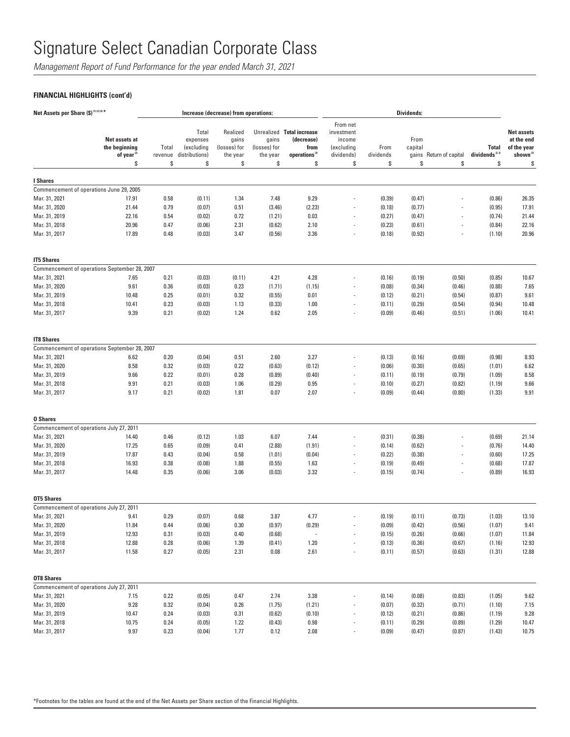*Management Report of Fund Performance for the year ended March 31, 2021*

## **FINANCIAL HIGHLIGHTS (cont'd)**

|                                | Net Assets per Share (\$) <sup>(1)(2)(4)*</sup><br>Dividends:<br>Increase (decrease) from operations: |                        |                                                         |                                                     |                                         |                                                                                    |                                                                    |                         |                                |                          |                                                  |                                                                              |
|--------------------------------|-------------------------------------------------------------------------------------------------------|------------------------|---------------------------------------------------------|-----------------------------------------------------|-----------------------------------------|------------------------------------------------------------------------------------|--------------------------------------------------------------------|-------------------------|--------------------------------|--------------------------|--------------------------------------------------|------------------------------------------------------------------------------|
|                                | Net assets at<br>the beginning<br>of year <sup>(2)</sup><br>\$                                        | Total<br>revenue<br>\$ | Total<br>expenses<br>(excluding<br>distributions)<br>\$ | Realized<br>gains<br>(losses) for<br>the year<br>\$ | gains<br>(losses) for<br>the year<br>\$ | Unrealized Total increase<br>(decrease)<br>from<br>operations <sup>(2)</sup><br>\$ | From net<br>investment<br>income<br>(excluding<br>dividends)<br>\$ | From<br>dividends<br>\$ | From<br>capital<br>gains<br>\$ | Return of capital<br>\$  | <b>Total</b><br>dividends <sup>(2,3)</sup><br>\$ | <b>Net assets</b><br>at the end<br>of the year<br>shown <sup>(2)</sup><br>\$ |
|                                |                                                                                                       |                        |                                                         |                                                     |                                         |                                                                                    |                                                                    |                         |                                |                          |                                                  |                                                                              |
| I Shares                       |                                                                                                       |                        |                                                         |                                                     |                                         |                                                                                    |                                                                    |                         |                                |                          |                                                  |                                                                              |
| Mar. 31, 2021                  | Commencement of operations June 29, 2005<br>17.91                                                     | 0.58                   | (0.11)                                                  | 1.34                                                | 7.48                                    | 9.29                                                                               |                                                                    | (0.39)                  | (0.47)                         |                          | (0.86)                                           | 26.35                                                                        |
| Mar. 31, 2020                  | 21.44                                                                                                 | 0.79                   | (0.07)                                                  | 0.51                                                | (3.46)                                  | (2.23)                                                                             |                                                                    | (0.18)                  | (0.77)                         |                          | (0.95)                                           | 17.91                                                                        |
| Mar. 31, 2019                  | 22.16                                                                                                 | 0.54                   | (0.02)                                                  | 0.72                                                | (1.21)                                  | 0.03                                                                               | $\overline{\phantom{a}}$                                           | (0.27)                  | (0.47)                         |                          | (0.74)                                           | 21.44                                                                        |
| Mar. 31, 2018                  | 20.96                                                                                                 | 0.47                   | (0.06)                                                  | 2.31                                                | (0.62)                                  | 2.10                                                                               | $\overline{\phantom{a}}$                                           | (0.23)                  | (0.61)                         | $\overline{a}$           | (0.84)                                           | 22.16                                                                        |
| Mar. 31, 2017                  | 17.89                                                                                                 | 0.48                   | (0.03)                                                  | 3.47                                                | (0.56)                                  | 3.36                                                                               |                                                                    | (0.18)                  | (0.92)                         |                          | (1.10)                                           | 20.96                                                                        |
| <b>IT5 Shares</b>              |                                                                                                       |                        |                                                         |                                                     |                                         |                                                                                    |                                                                    |                         |                                |                          |                                                  |                                                                              |
|                                | Commencement of operations September 28, 2007                                                         |                        |                                                         |                                                     |                                         |                                                                                    |                                                                    |                         |                                |                          |                                                  |                                                                              |
| Mar. 31, 2021                  | 7.65                                                                                                  | 0.21                   | (0.03)                                                  | (0.11)                                              | 4.21                                    | 4.28                                                                               |                                                                    | (0.16)                  | (0.19)                         | (0.50)                   | (0.85)                                           | 10.67                                                                        |
| Mar. 31, 2020                  | 9.61                                                                                                  | 0.36                   | (0.03)                                                  | 0.23                                                | (1.71)                                  | (1.15)                                                                             |                                                                    | (0.08)                  | (0.34)                         | (0.46)                   | (0.88)                                           | 7.65                                                                         |
| Mar. 31, 2019                  | 10.48                                                                                                 | 0.25                   | (0.01)                                                  | 0.32                                                | (0.55)                                  | 0.01                                                                               |                                                                    | (0.12)                  | (0.21)                         | (0.54)                   | (0.87)                                           | 9.61                                                                         |
| Mar. 31, 2018                  | 10.41                                                                                                 | 0.23                   | (0.03)                                                  | 1.13                                                | (0.33)                                  | 1.00                                                                               |                                                                    | (0.11)                  | (0.29)                         | (0.54)                   | (0.94)                                           | 10.48                                                                        |
| Mar. 31, 2017                  | 9.39                                                                                                  | 0.21                   | (0.02)                                                  | 1.24                                                | 0.62                                    | 2.05                                                                               |                                                                    | (0.09)                  | (0.46)                         | (0.51)                   | (1.06)                                           | 10.41                                                                        |
| <b>IT8 Shares</b>              |                                                                                                       |                        |                                                         |                                                     |                                         |                                                                                    |                                                                    |                         |                                |                          |                                                  |                                                                              |
|                                | Commencement of operations September 28, 2007                                                         |                        |                                                         |                                                     |                                         |                                                                                    |                                                                    |                         |                                |                          |                                                  |                                                                              |
| Mar. 31, 2021                  | 6.62                                                                                                  | 0.20                   | (0.04)                                                  | 0.51                                                | 2.60                                    | 3.27                                                                               |                                                                    | (0.13)                  | (0.16)                         | (0.69)                   | (0.98)                                           | 8.93                                                                         |
| Mar. 31, 2020                  | 8.58                                                                                                  | 0.32                   | (0.03)                                                  | 0.22                                                | (0.63)                                  | (0.12)                                                                             |                                                                    | (0.06)                  | (0.30)                         | (0.65)                   | (1.01)                                           | 6.62                                                                         |
| Mar. 31, 2019                  | 9.66                                                                                                  | 0.22                   | (0.01)                                                  | 0.28                                                | (0.89)                                  | (0.40)<br>0.95                                                                     | $\overline{\phantom{a}}$                                           | (0.11)                  | (0.19)                         | (0.79)                   | (1.09)                                           | 8.58<br>9.66                                                                 |
| Mar. 31, 2018<br>Mar. 31, 2017 | 9.91<br>9.17                                                                                          | 0.21<br>0.21           | (0.03)<br>(0.02)                                        | 1.06<br>1.81                                        | (0.29)<br>0.07                          | 2.07                                                                               | $\overline{\phantom{a}}$<br>$\overline{\phantom{a}}$               | (0.10)<br>(0.09)        | (0.27)<br>(0.44)               | (0.82)<br>(0.80)         | (1.19)<br>(1.33)                                 | 9.91                                                                         |
| <b>0 Shares</b>                |                                                                                                       |                        |                                                         |                                                     |                                         |                                                                                    |                                                                    |                         |                                |                          |                                                  |                                                                              |
|                                | Commencement of operations July 27, 2011                                                              |                        |                                                         |                                                     |                                         |                                                                                    |                                                                    |                         |                                |                          |                                                  |                                                                              |
| Mar. 31, 2021                  | 14.40                                                                                                 | 0.46                   | (0.12)                                                  | 1.03                                                | 6.07                                    | 7.44                                                                               |                                                                    | (0.31)                  | (0.38)                         |                          | (0.69)                                           | 21.14                                                                        |
| Mar. 31, 2020                  | 17.25                                                                                                 | 0.65                   | (0.09)                                                  | 0.41                                                | (2.88)                                  | (1.91)                                                                             |                                                                    | (0.14)                  | (0.62)                         |                          | (0.76)                                           | 14.40                                                                        |
| Mar. 31, 2019                  | 17.87                                                                                                 | 0.43                   | (0.04)                                                  | 0.58                                                | (1.01)                                  | (0.04)                                                                             | $\overline{\phantom{a}}$                                           | (0.22)                  | (0.38)                         | $\overline{\phantom{a}}$ | (0.60)                                           | 17.25                                                                        |
| Mar. 31, 2018                  | 16.93                                                                                                 | 0.38                   | (0.08)                                                  | 1.88                                                | (0.55)                                  | 1.63                                                                               |                                                                    | (0.19)                  | (0.49)                         |                          | (0.68)                                           | 17.87                                                                        |
| Mar. 31, 2017                  | 14.48                                                                                                 | 0.35                   | (0.06)                                                  | 3.06                                                | (0.03)                                  | 3.32                                                                               | $\overline{\phantom{a}}$                                           | (0.15)                  | (0.74)                         |                          | (0.89)                                           | 16.93                                                                        |
| <b>OT5 Shares</b>              |                                                                                                       |                        |                                                         |                                                     |                                         |                                                                                    |                                                                    |                         |                                |                          |                                                  |                                                                              |
|                                | Commencement of operations July 27, 2011                                                              |                        |                                                         |                                                     |                                         |                                                                                    |                                                                    |                         |                                |                          |                                                  |                                                                              |
| Mar. 31, 2021                  | 9.41                                                                                                  | 0.29                   | (0.07)                                                  | 0.68                                                | 3.87                                    | 4.77                                                                               |                                                                    | (0.19)                  | (0.11)                         | (0.73)                   | (1.03)                                           | 13.10                                                                        |
| Mar. 31, 2020                  | 11.84                                                                                                 | 0.44                   | (0.06)                                                  | 0.30                                                | (0.97)                                  | (0.29)                                                                             |                                                                    | (0.09)                  | (0.42)                         | (0.56)                   | (1.07)                                           | 9.41                                                                         |
| Mar. 31, 2019                  | 12.93                                                                                                 | 0.31                   | (0.03)                                                  | 0.40                                                | (0.68)                                  | ÷,                                                                                 |                                                                    | (0.15)                  | (0.26)                         | (0.66)                   | (1.07)                                           | 11.84                                                                        |
| Mar. 31, 2018                  | 12.88                                                                                                 | 0.28                   | (0.06)                                                  | 1.39                                                | (0.41)                                  | 1.20                                                                               | $\overline{\phantom{a}}$                                           | (0.13)                  | (0.36)                         | (0.67)                   | (1.16)                                           | 12.93                                                                        |
| Mar. 31, 2017                  | 11.58                                                                                                 | 0.27                   | (0.05)                                                  | 2.31                                                | 0.08                                    | 2.61                                                                               | $\overline{\phantom{a}}$                                           | (0.11)                  | (0.57)                         | (0.63)                   | (1.31)                                           | 12.88                                                                        |
| <b>OT8 Shares</b>              |                                                                                                       |                        |                                                         |                                                     |                                         |                                                                                    |                                                                    |                         |                                |                          |                                                  |                                                                              |
|                                | Commencement of operations July 27, 2011                                                              |                        |                                                         |                                                     |                                         |                                                                                    |                                                                    |                         |                                |                          |                                                  |                                                                              |
| Mar. 31, 2021                  | 7.15                                                                                                  | 0.22                   | (0.05)                                                  | 0.47                                                | 2.74                                    | 3.38                                                                               |                                                                    | (0.14)                  | (0.08)                         | (0.83)                   | (1.05)                                           | 9.62                                                                         |
| Mar. 31, 2020                  | 9.28                                                                                                  | 0.32                   | (0.04)                                                  | 0.26                                                | (1.75)                                  | (1.21)                                                                             |                                                                    | (0.07)                  | (0.32)                         | (0.71)                   | (1.10)                                           | 7.15                                                                         |
| Mar. 31, 2019                  | 10.47                                                                                                 | 0.24                   | (0.03)                                                  | 0.31                                                | (0.62)                                  | (0.10)                                                                             | $\overline{\phantom{a}}$                                           | (0.12)                  | (0.21)                         | (0.86)                   | (1.19)                                           | $9.28\,$                                                                     |
| Mar. 31, 2018                  | 10.75                                                                                                 | 0.24                   | (0.05)                                                  | 1.22                                                | (0.43)                                  | 0.98                                                                               |                                                                    | (0.11)                  | (0.29)                         | (0.89)                   | (1.29)                                           | 10.47                                                                        |
| Mar. 31, 2017                  | 9.97                                                                                                  | 0.23                   | (0.04)                                                  | 1.77                                                | 0.12                                    | 2.08                                                                               |                                                                    | (0.09)                  | (0.47)                         | (0.87)                   | (1.43)                                           | 10.75                                                                        |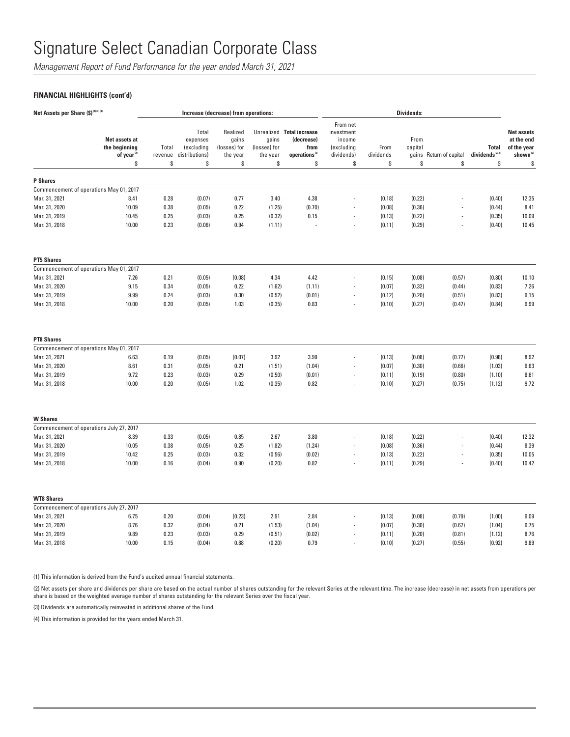*Management Report of Fund Performance for the year ended March 31, 2021*

## **FINANCIAL HIGHLIGHTS (cont'd)**

| Net Assets per Share (\$)(1)(2)(4)                          |                                                                |                        |                                                         | Increase (decrease) from operations:                |                                         |                                                                                    |                                                                    |                         | <b>Dividends:</b>     |                               |                                          |                                                                              |
|-------------------------------------------------------------|----------------------------------------------------------------|------------------------|---------------------------------------------------------|-----------------------------------------------------|-----------------------------------------|------------------------------------------------------------------------------------|--------------------------------------------------------------------|-------------------------|-----------------------|-------------------------------|------------------------------------------|------------------------------------------------------------------------------|
|                                                             | Net assets at<br>the beginning<br>of year <sup>(2)</sup><br>\$ | Total<br>revenue<br>\$ | Total<br>expenses<br>(excluding<br>distributions)<br>\$ | Realized<br>gains<br>(losses) for<br>the year<br>\$ | gains<br>(losses) for<br>the year<br>\$ | Unrealized Total increase<br>(decrease)<br>from<br>operations <sup>(2)</sup><br>\$ | From net<br>investment<br>income<br>(excluding<br>dividends)<br>\$ | From<br>dividends<br>\$ | From<br>capital<br>\$ | gains Return of capital<br>\$ | <b>Total</b><br>dividends $^{2.3}$<br>\$ | <b>Net assets</b><br>at the end<br>of the year<br>shown <sup>(2)</sup><br>\$ |
| <b>P</b> Shares                                             |                                                                |                        |                                                         |                                                     |                                         |                                                                                    |                                                                    |                         |                       |                               |                                          |                                                                              |
| Commencement of operations May 01, 2017                     |                                                                |                        |                                                         |                                                     |                                         |                                                                                    |                                                                    |                         |                       |                               |                                          |                                                                              |
| Mar. 31, 2021                                               | 8.41                                                           | 0.28                   | (0.07)                                                  | 0.77                                                | 3.40                                    | 4.38                                                                               |                                                                    | (0.18)                  | (0.22)                |                               | (0.40)                                   | 12.35                                                                        |
| Mar. 31, 2020                                               | 10.09                                                          | 0.38                   | (0.05)                                                  | 0.22                                                | (1.25)                                  | (0.70)                                                                             |                                                                    | (0.08)                  | (0.36)                |                               | (0.44)                                   | 8.41                                                                         |
| Mar. 31, 2019                                               | 10.45                                                          | 0.25                   | (0.03)                                                  | 0.25                                                | (0.32)                                  | 0.15                                                                               | ÷,                                                                 | (0.13)                  | (0.22)                | ÷,                            | (0.35)                                   | 10.09                                                                        |
| Mar. 31, 2018                                               | 10.00                                                          | 0.23                   | (0.06)                                                  | 0.94                                                | (1.11)                                  |                                                                                    | J.                                                                 | (0.11)                  | (0.29)                | J.                            | (0.40)                                   | 10.45                                                                        |
| <b>PT5 Shares</b>                                           |                                                                |                        |                                                         |                                                     |                                         |                                                                                    |                                                                    |                         |                       |                               |                                          |                                                                              |
| Commencement of operations May 01, 2017                     |                                                                |                        |                                                         |                                                     |                                         |                                                                                    |                                                                    |                         |                       |                               |                                          |                                                                              |
| Mar. 31, 2021                                               | 7.26                                                           | 0.21                   | (0.05)                                                  | (0.08)                                              | 4.34                                    | 4.42                                                                               |                                                                    | (0.15)                  | (0.08)                | (0.57)                        | (0.80)                                   | 10.10                                                                        |
| Mar. 31, 2020                                               | 9.15                                                           | 0.34                   | (0.05)                                                  | 0.22                                                | (1.62)                                  | (1.11)                                                                             | ÷,                                                                 | (0.07)                  | (0.32)                | (0.44)                        | (0.83)                                   | 7.26                                                                         |
| Mar. 31, 2019                                               | 9.99                                                           | 0.24                   | (0.03)                                                  | 0.30                                                | (0.52)                                  | (0.01)                                                                             | ÷,                                                                 | (0.12)                  | (0.20)                | (0.51)                        | (0.83)                                   | 9.15                                                                         |
| Mar. 31, 2018                                               | 10.00                                                          | 0.20                   | (0.05)                                                  | 1.03                                                | (0.35)                                  | 0.83                                                                               | ÷,                                                                 | (0.10)                  | (0.27)                | (0.47)                        | (0.84)                                   | 9.99                                                                         |
| <b>PT8 Shares</b>                                           |                                                                |                        |                                                         |                                                     |                                         |                                                                                    |                                                                    |                         |                       |                               |                                          |                                                                              |
| Commencement of operations May 01, 2017                     |                                                                |                        |                                                         |                                                     |                                         |                                                                                    |                                                                    |                         |                       |                               |                                          |                                                                              |
| Mar. 31, 2021                                               | 6.63                                                           | 0.19                   | (0.05)                                                  | (0.07)                                              | 3.92                                    | 3.99                                                                               |                                                                    | (0.13)                  | (0.08)                | (0.77)                        | (0.98)                                   | 8.92                                                                         |
| Mar. 31, 2020                                               | 8.61                                                           | 0.31                   | (0.05)                                                  | 0.21                                                | (1.51)                                  | (1.04)                                                                             |                                                                    | (0.07)                  | (0.30)                | (0.66)                        | (1.03)                                   | 6.63                                                                         |
| Mar. 31, 2019<br>Mar. 31, 2018                              | 9.72<br>10.00                                                  | 0.23<br>0.20           | (0.03)<br>(0.05)                                        | 0.29<br>1.02                                        | (0.50)<br>(0.35)                        | (0.01)<br>0.82                                                                     |                                                                    | (0.11)<br>(0.10)        | (0.19)<br>(0.27)      | (0.80)<br>(0.75)              | (1.10)<br>(1.12)                         | 8.61<br>9.72                                                                 |
|                                                             |                                                                |                        |                                                         |                                                     |                                         |                                                                                    |                                                                    |                         |                       |                               |                                          |                                                                              |
| <b>W</b> Shares<br>Commencement of operations July 27, 2017 |                                                                |                        |                                                         |                                                     |                                         |                                                                                    |                                                                    |                         |                       |                               |                                          |                                                                              |
| Mar. 31, 2021                                               | 8.39                                                           | 0.33                   | (0.05)                                                  | 0.85                                                | 2.67                                    | 3.80                                                                               |                                                                    | (0.18)                  | (0.22)                |                               | (0.40)                                   | 12.32                                                                        |
| Mar. 31, 2020                                               | 10.05                                                          | 0.38                   | (0.05)                                                  | 0.25                                                | (1.82)                                  | (1.24)                                                                             |                                                                    | (0.08)                  | (0.36)                |                               | (0.44)                                   | 8.39                                                                         |
| Mar. 31, 2019                                               | 10.42                                                          | 0.25                   | (0.03)                                                  | 0.32                                                | (0.56)                                  | (0.02)                                                                             | $\overline{a}$                                                     | (0.13)                  | (0.22)                | ÷,                            | (0.35)                                   | 10.05                                                                        |
| Mar. 31, 2018                                               | 10.00                                                          | 0.16                   | (0.04)                                                  | 0.90                                                | (0.20)                                  | 0.82                                                                               | J,                                                                 | (0.11)                  | (0.29)                |                               | (0.40)                                   | 10.42                                                                        |
|                                                             |                                                                |                        |                                                         |                                                     |                                         |                                                                                    |                                                                    |                         |                       |                               |                                          |                                                                              |
| <b>WT8 Shares</b>                                           |                                                                |                        |                                                         |                                                     |                                         |                                                                                    |                                                                    |                         |                       |                               |                                          |                                                                              |
| Commencement of operations July 27, 2017                    |                                                                |                        |                                                         |                                                     |                                         |                                                                                    |                                                                    |                         |                       |                               |                                          |                                                                              |
| Mar. 31, 2021                                               | 6.75                                                           | 0.20                   | (0.04)                                                  | (0.23)                                              | 2.91                                    | 2.84                                                                               |                                                                    | (0.13)                  | (0.08)                | (0.79)                        | (1.00)                                   | 9.09                                                                         |
| Mar. 31, 2020                                               | 8.76                                                           | 0.32                   | (0.04)                                                  | 0.21                                                | (1.53)                                  | (1.04)                                                                             | ÷,                                                                 | (0.07)                  | (0.30)                | (0.67)                        | (1.04)                                   | 6.75                                                                         |
| Mar. 31, 2019                                               | 9.89                                                           | 0.23                   | (0.03)                                                  | 0.29                                                | (0.51)                                  | (0.02)                                                                             | J,                                                                 | (0.11)                  | (0.20)                | (0.81)                        | (1.12)                                   | 8.76                                                                         |
| Mar. 31, 2018                                               | 10.00                                                          | 0.15                   | (0.04)                                                  | 0.88                                                | (0.20)                                  | 0.79                                                                               |                                                                    | (0.10)                  | (0.27)                | (0.55)                        | (0.92)                                   | 9.89                                                                         |

(1) This information is derived from the Fund's audited annual financial statements.

(2) Net assets per share and dividends per share are based on the actual number of shares outstanding for the relevant Series at the relevant time. The increase (decrease) in net assets from operations per share is based on the weighted average number of shares outstanding for the relevant Series over the fiscal year.

(3) Dividends are automatically reinvested in additional shares of the Fund.

(4) This information is provided for the years ended March 31.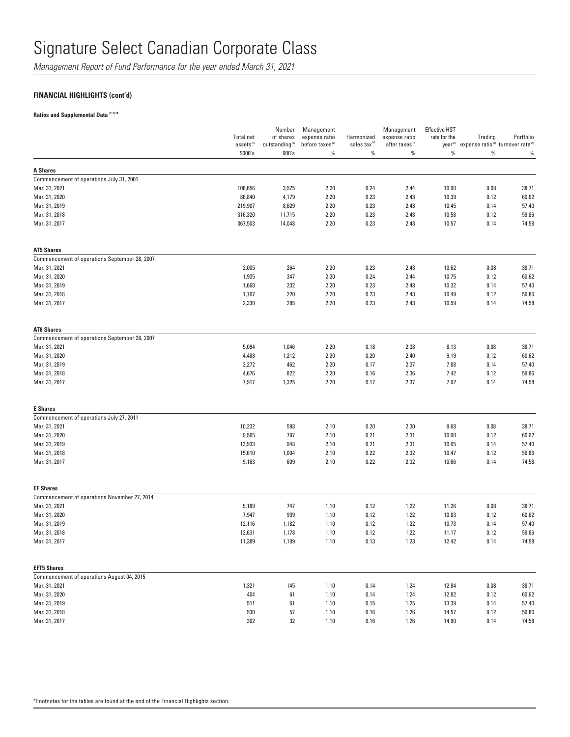*Management Report of Fund Performance for the year ended March 31, 2021*

## **FINANCIAL HIGHLIGHTS (cont'd)**

**Ratios and Supplemental Data (1) (5) \***

|                                               | <b>Total net</b><br>assets <sup>(5)</sup> | Number<br>of shares<br>outstanding <sup>(5)</sup> | Management<br>expense ratio<br>before taxes <sup>(2)</sup> | Harmonized<br>sales tax <sup>(2)</sup> | Management<br>expense ratio<br>after taxes <sup>(2)</sup> | <b>Effective HST</b><br>rate for the | Trading<br>year <sup>(2)</sup> expense ratio <sup>(3)</sup> turnover rate <sup>(4)</sup> | Portfolio |
|-----------------------------------------------|-------------------------------------------|---------------------------------------------------|------------------------------------------------------------|----------------------------------------|-----------------------------------------------------------|--------------------------------------|------------------------------------------------------------------------------------------|-----------|
|                                               | \$000's                                   | 000's                                             | %                                                          | $\%$                                   | $\%$                                                      | $\%$                                 | $\%$                                                                                     | $\%$      |
| <b>A Shares</b>                               |                                           |                                                   |                                                            |                                        |                                                           |                                      |                                                                                          |           |
| Commencement of operations July 31, 2001      |                                           |                                                   |                                                            |                                        |                                                           |                                      |                                                                                          |           |
| Mar. 31, 2021                                 | 106,656                                   | 3,575                                             | 2.20                                                       | 0.24                                   | 2.44                                                      | 10.90                                | 0.08                                                                                     | 38.71     |
| Mar. 31, 2020                                 | 86,840                                    | 4,179                                             | 2.20                                                       | 0.23                                   | 2.43                                                      | 10.39                                | 0.12                                                                                     | 60.62     |
| Mar. 31, 2019                                 | 219,907                                   | 8,629                                             | 2.20                                                       | 0.23                                   | 2.43                                                      | 10.45                                | 0.14                                                                                     | 57.40     |
| Mar. 31, 2018                                 | 316,320                                   | 11,715                                            | 2.20                                                       | 0.23                                   | 2.43                                                      | 10.58                                | 0.12                                                                                     | 59.86     |
| Mar. 31, 2017                                 | 367,503                                   | 14,048                                            | 2.20                                                       | 0.23                                   | 2.43                                                      | 10.57                                | 0.14                                                                                     | 74.58     |
| <b>AT5 Shares</b>                             |                                           |                                                   |                                                            |                                        |                                                           |                                      |                                                                                          |           |
| Commencement of operations September 28, 2007 |                                           |                                                   |                                                            |                                        |                                                           |                                      |                                                                                          |           |
| Mar. 31, 2021                                 | 2,005                                     | 264                                               | 2.20                                                       | 0.23                                   | 2.43                                                      | 10.62                                | 0.08                                                                                     | 38.71     |
| Mar. 31, 2020                                 | 1,935                                     | 347                                               | 2.20                                                       | 0.24                                   | 2.44                                                      | 10.75                                | 0.12                                                                                     | 60.62     |
| Mar. 31, 2019                                 | 1,668                                     | 232                                               | 2.20                                                       | 0.23                                   | 2.43                                                      | 10.32                                | 0.14                                                                                     | 57.40     |
| Mar. 31, 2018                                 | 1,767                                     | 220                                               | 2.20                                                       | 0.23                                   | 2.43                                                      | 10.49                                | 0.12                                                                                     | 59.86     |
| Mar. 31, 2017                                 | 2,330                                     | 285                                               | 2.20                                                       | 0.23                                   | 2.43                                                      | 10.59                                | 0.14                                                                                     | 74.58     |
| <b>AT8 Shares</b>                             |                                           |                                                   |                                                            |                                        |                                                           |                                      |                                                                                          |           |
| Commencement of operations September 28, 2007 |                                           |                                                   |                                                            |                                        |                                                           |                                      |                                                                                          |           |
| Mar. 31, 2021                                 | 5,094                                     | 1,046                                             | 2.20                                                       | 0.18                                   | 2.38                                                      | 8.13                                 | 0.08                                                                                     | 38.71     |
| Mar. 31, 2020                                 | 4,488                                     | 1,212                                             | 2.20                                                       | 0.20                                   | 2.40                                                      | 9.19                                 | 0.12                                                                                     | 60.62     |
| Mar. 31, 2019                                 | 2,272                                     | 462                                               | 2.20                                                       | 0.17                                   | 2.37                                                      | 7.88                                 | 0.14                                                                                     | 57.40     |
| Mar. 31, 2018                                 | 4,676                                     | 822                                               | 2.20                                                       | 0.16                                   | 2.36                                                      | 7.42                                 | 0.12                                                                                     | 59.86     |
| Mar. 31, 2017                                 | 7,917                                     | 1,325                                             | 2.20                                                       | 0.17                                   | 2.37                                                      | 7.92                                 | 0.14                                                                                     | 74.58     |
| <b>E</b> Shares                               |                                           |                                                   |                                                            |                                        |                                                           |                                      |                                                                                          |           |
| Commencement of operations July 27, 2011      |                                           |                                                   |                                                            |                                        |                                                           |                                      |                                                                                          |           |
| Mar. 31, 2021                                 | 10,232                                    | 593                                               | 2.10                                                       | 0.20                                   | 2.30                                                      | 9.68                                 | 0.08                                                                                     | 38.71     |
| Mar. 31, 2020                                 | 9,565                                     | 797                                               | 2.10                                                       | 0.21                                   | 2.31                                                      | 10.00                                | 0.12                                                                                     | 60.62     |
| Mar. 31, 2019                                 | 13,933                                    | 948                                               | 2.10                                                       | 0.21                                   | 2.31                                                      | 10.05                                | 0.14                                                                                     | 57.40     |
| Mar. 31, 2018                                 | 15,610                                    | 1,004                                             | 2.10                                                       | 0.22                                   | 2.32                                                      | 10.47                                | 0.12                                                                                     | 59.86     |
| Mar. 31, 2017                                 | 9,163                                     | 609                                               | 2.10                                                       | 0.22                                   | 2.32                                                      | 10.66                                | 0.14                                                                                     | 74.58     |
| <b>EF Shares</b>                              |                                           |                                                   |                                                            |                                        |                                                           |                                      |                                                                                          |           |
| Commencement of operations November 27, 2014  |                                           |                                                   |                                                            |                                        |                                                           |                                      |                                                                                          |           |
| Mar. 31, 2021                                 | 9,189                                     | 747                                               | 1.10                                                       | 0.12                                   | 1.22                                                      | 11.26                                | 0.08                                                                                     | 38.71     |
| Mar. 31, 2020                                 | 7,947                                     | 939                                               | 1.10                                                       | 0.12                                   | 1.22                                                      | 10.83                                | 0.12                                                                                     | 60.62     |
| Mar. 31, 2019                                 | 12,116                                    | 1,182                                             | 1.10                                                       | 0.12                                   | 1.22                                                      | 10.73                                | 0.14                                                                                     | 57.40     |
| Mar. 31, 2018                                 | 12,631                                    | 1,178                                             | 1.10                                                       | 0.12                                   | 1.22                                                      | 11.17                                | 0.12                                                                                     | 59.86     |
| Mar. 31, 2017                                 | 11,389                                    | 1,109                                             | 1.10                                                       | 0.13                                   | 1.23                                                      | 12.42                                | 0.14                                                                                     | 74.58     |
| <b>EFT5 Shares</b>                            |                                           |                                                   |                                                            |                                        |                                                           |                                      |                                                                                          |           |
| Commencement of operations August 04, 2015    |                                           |                                                   |                                                            |                                        |                                                           |                                      |                                                                                          |           |
| Mar. 31, 2021                                 | 1,321                                     | 145                                               | 1.10                                                       | 0.14                                   | 1.24                                                      | 12.84                                | 0.08                                                                                     | 38.71     |
| Mar. 31, 2020                                 | 404                                       | 61                                                | 1.10                                                       | 0.14                                   | 1.24                                                      | 12.82                                | 0.12                                                                                     | 60.62     |
| Mar. 31, 2019                                 | 511                                       | 61                                                | 1.10                                                       | 0.15                                   | 1.25                                                      | 13.39                                | 0.14                                                                                     | 57.40     |
| Mar. 31, 2018                                 | 530                                       | 57                                                | 1.10                                                       | 0.16                                   | 1.26                                                      | 14.57                                | 0.12                                                                                     | 59.86     |
| Mar. 31, 2017                                 | 302                                       | $32\,$                                            | 1.10                                                       | 0.16                                   | 1.26                                                      | 14.90                                | 0.14                                                                                     | 74.58     |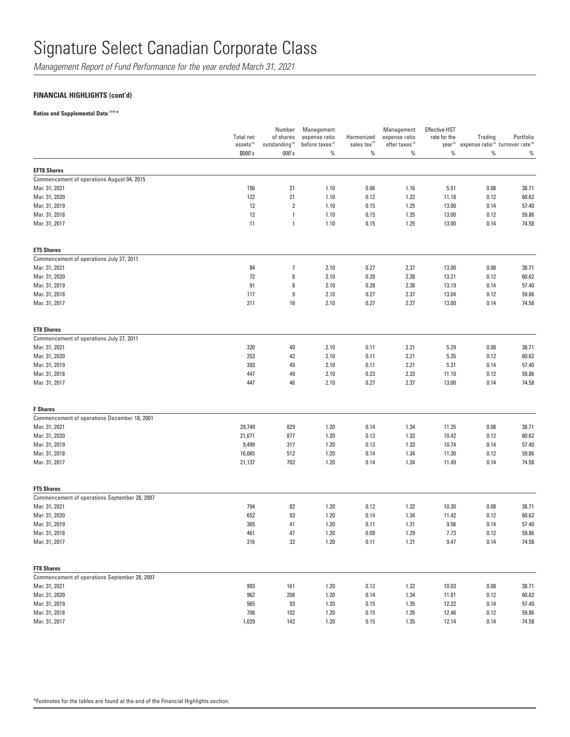*Management Report of Fund Performance for the year ended March 31, 2021*

## **FINANCIAL HIGHLIGHTS (cont'd)**

### **Ratios and Supplemental Data (1) (5) \***

|                                               | Total net<br>assets <sup>(5)</sup> | Number<br>of shares<br>outstanding <sup>(5)</sup> | Management<br>expense ratio<br>before taxes <sup>(2)</sup> | Harmonized<br>sales tax <sup>12</sup> | Management<br>expense ratio<br>after taxes <sup>(2)</sup> | <b>Effective HST</b><br>rate for the<br>year <sup>(2)</sup> | Trading | Portfolio<br>expense ratio <sup>(3)</sup> turnover rate <sup>(4)</sup> |
|-----------------------------------------------|------------------------------------|---------------------------------------------------|------------------------------------------------------------|---------------------------------------|-----------------------------------------------------------|-------------------------------------------------------------|---------|------------------------------------------------------------------------|
|                                               | \$000's                            | 000's                                             | $\%$                                                       | $\%$                                  | $\%$                                                      | $\%$                                                        | $\%$    | $\%$                                                                   |
| <b>EFT8 Shares</b>                            |                                    |                                                   |                                                            |                                       |                                                           |                                                             |         |                                                                        |
| Commencement of operations August 04, 2015    |                                    |                                                   |                                                            |                                       |                                                           |                                                             |         |                                                                        |
| Mar. 31, 2021                                 | 156                                | 21                                                | 1.10                                                       | 0.06                                  | 1.16                                                      | 5.51                                                        | 0.08    | 38.71                                                                  |
| Mar. 31, 2020                                 | 122                                | 21                                                | 1.10                                                       | 0.12                                  | 1.22                                                      | 11.18                                                       | 0.12    | 60.62                                                                  |
| Mar. 31, 2019                                 | 12                                 | $\sqrt{2}$                                        | 1.10                                                       | 0.15                                  | 1.25                                                      | 13.00                                                       | 0.14    | 57.40                                                                  |
| Mar. 31, 2018                                 | 12                                 | $\mathbf{1}$                                      | 1.10                                                       | 0.15                                  | 1.25                                                      | 13.00                                                       | 0.12    | 59.86                                                                  |
| Mar. 31, 2017                                 | 11                                 | $\mathbf{1}$                                      | 1.10                                                       | 0.15                                  | 1.25                                                      | 13.00                                                       | 0.14    | 74.58                                                                  |
| <b>ET5 Shares</b>                             |                                    |                                                   |                                                            |                                       |                                                           |                                                             |         |                                                                        |
| Commencement of operations July 27, 2011      |                                    |                                                   |                                                            |                                       |                                                           |                                                             |         |                                                                        |
| Mar. 31, 2021                                 | 84                                 | $\overline{7}$                                    | 2.10                                                       | 0.27                                  | 2.37                                                      | 13.00                                                       | 0.08    | 38.71                                                                  |
| Mar. 31, 2020                                 | 72                                 | 8                                                 | 2.10                                                       | 0.28                                  | 2.38                                                      | 13.21                                                       | 0.12    | 60.62                                                                  |
| Mar. 31, 2019                                 | 91                                 | 8                                                 | 2.10                                                       | 0.28                                  | 2.38                                                      | 13.19                                                       | 0.14    | 57.40                                                                  |
| Mar. 31, 2018                                 | 117                                | 9                                                 | 2.10                                                       | 0.27                                  | 2.37                                                      | 13.04                                                       | 0.12    | 59.86                                                                  |
| Mar. 31, 2017                                 | 211                                | 16                                                | 2.10                                                       | 0.27                                  | 2.37                                                      | 13.00                                                       | 0.14    | 74.58                                                                  |
| <b>ET8 Shares</b>                             |                                    |                                                   |                                                            |                                       |                                                           |                                                             |         |                                                                        |
| Commencement of operations July 27, 2011      |                                    |                                                   |                                                            |                                       |                                                           |                                                             |         |                                                                        |
| Mar. 31, 2021                                 | 320                                | 40                                                | 2.10                                                       | 0.11                                  | 2.21                                                      | 5.29                                                        | 0.08    | 38.71                                                                  |
| Mar. 31, 2020                                 | 253                                | 42                                                | 2.10                                                       | 0.11                                  | 2.21                                                      | 5.35                                                        | 0.12    | 60.62                                                                  |
| Mar. 31, 2019                                 | 393                                | 49                                                | 2.10                                                       | 0.11                                  | 2.21                                                      | 5.31                                                        | 0.14    | 57.40                                                                  |
| Mar. 31, 2018                                 | 447                                | 49                                                | 2.10                                                       | 0.23                                  | 2.33                                                      | 11.10                                                       | 0.12    | 59.86                                                                  |
| Mar. 31, 2017                                 | 447                                | 46                                                | 2.10                                                       | 0.27                                  | 2.37                                                      | 13.00                                                       | 0.14    | 74.58                                                                  |
| <b>F</b> Shares                               |                                    |                                                   |                                                            |                                       |                                                           |                                                             |         |                                                                        |
| Commencement of operations December 18, 2001  |                                    |                                                   |                                                            |                                       |                                                           |                                                             |         |                                                                        |
| Mar. 31, 2021                                 | 29,749                             | 829                                               | 1.20                                                       | 0.14                                  | 1.34                                                      | 11.35                                                       | 0.08    | 38.71                                                                  |
| Mar. 31, 2020                                 | 21,671                             | 877                                               | 1.20                                                       | 0.13                                  | 1.33                                                      | 10.42                                                       | 0.12    | 60.62                                                                  |
| Mar. 31, 2019                                 | 9,499                              | 317                                               | 1.20                                                       | 0.13                                  | 1.33                                                      | 10.74                                                       | 0.14    | 57.40                                                                  |
| Mar. 31, 2018                                 | 16,065                             | 512                                               | 1.20                                                       | 0.14                                  | 1.34                                                      | 11.30                                                       | 0.12    | 59.86                                                                  |
| Mar. 31, 2017                                 | 21,137                             | 702                                               | 1.20                                                       | 0.14                                  | 1.34                                                      | 11.49                                                       | 0.14    | 74.58                                                                  |
| <b>FT5 Shares</b>                             |                                    |                                                   |                                                            |                                       |                                                           |                                                             |         |                                                                        |
| Commencement of operations September 28, 2007 |                                    |                                                   |                                                            |                                       |                                                           |                                                             |         |                                                                        |
| Mar. 31, 2021                                 | 794                                | 82                                                | 1.20                                                       | 0.12                                  | 1.32                                                      | 10.30                                                       | 0.08    | 38.71                                                                  |
| Mar. 31, 2020                                 | 652                                | 93                                                | 1.20                                                       | 0.14                                  | 1.34                                                      | 11.42                                                       | 0.12    | 60.62                                                                  |
| Mar. 31, 2019                                 | 365                                | 41                                                | 1.20                                                       | 0.11                                  | 1.31                                                      | 9.56                                                        | 0.14    | 57.40                                                                  |
| Mar. 31, 2018                                 | 461                                | 47                                                | 1.20                                                       | 0.09                                  | 1.29                                                      | 7.73                                                        | 0.12    | 59.86                                                                  |
| Mar. 31, 2017                                 | 316                                | 32                                                | 1.20                                                       | 0.11                                  | 1.31                                                      | 9.47                                                        | 0.14    | 74.58                                                                  |
| <b>FT8 Shares</b>                             |                                    |                                                   |                                                            |                                       |                                                           |                                                             |         |                                                                        |
| Commencement of operations September 28, 2007 |                                    |                                                   |                                                            |                                       |                                                           |                                                             |         |                                                                        |
| Mar. 31, 2021                                 | 993                                | 161                                               | 1.20                                                       | 0.12                                  | 1.32                                                      | 10.03                                                       | 0.08    | 38.71                                                                  |
| Mar. 31, 2020                                 | 962                                | 208                                               | 1.20                                                       | 0.14                                  | 1.34                                                      | 11.81                                                       | 0.12    | 60.62                                                                  |
| Mar. 31, 2019                                 | 565                                | 93                                                | 1.20                                                       | 0.15                                  | 1.35                                                      | 12.22                                                       | 0.14    | 57.40                                                                  |
| Mar. 31, 2018                                 | 708                                | 102                                               | 1.20                                                       | 0.15                                  | 1.35                                                      | 12.46                                                       | 0.12    | 59.86                                                                  |
| Mar. 31, 2017                                 | 1,029                              | 142                                               | 1.20                                                       | 0.15                                  | 1.35                                                      | 12.14                                                       | 0.14    | 74.58                                                                  |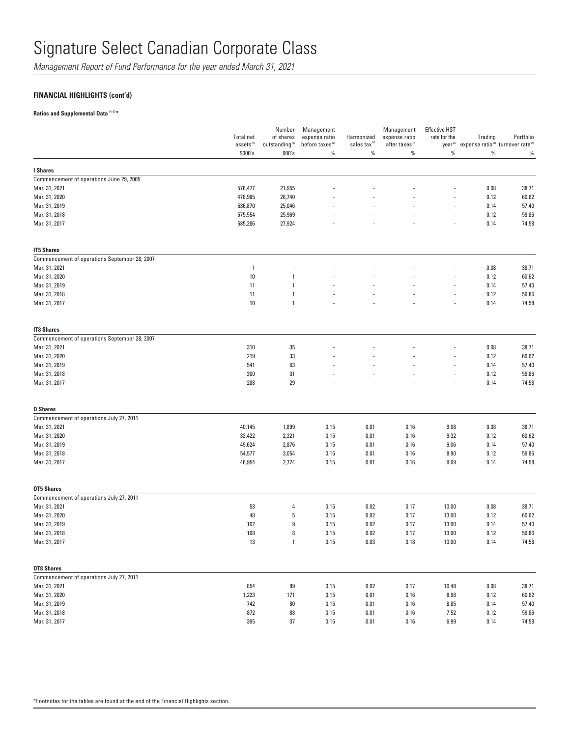*Management Report of Fund Performance for the year ended March 31, 2021*

## **FINANCIAL HIGHLIGHTS (cont'd)**

### **Ratios and Supplemental Data (1) (5) \***

|                                               | <b>Total net</b><br>assets <sup>(5)</sup> | Number<br>of shares<br>outstanding $^{\scriptscriptstyle{(5)}}$ | Management<br>expense ratio<br>before taxes <sup>(2)</sup> | Harmonized<br>sales tax <sup>(2)</sup> | Management<br>expense ratio<br>after taxes <sup>(2)</sup> | <b>Effective HST</b><br>rate for the<br>year <sup>(2)</sup> | Trading  | Portfolio<br>expense ratio <sup>(3)</sup> turnover rate <sup>(4)</sup> |
|-----------------------------------------------|-------------------------------------------|-----------------------------------------------------------------|------------------------------------------------------------|----------------------------------------|-----------------------------------------------------------|-------------------------------------------------------------|----------|------------------------------------------------------------------------|
|                                               | \$000's                                   | 000's                                                           | $\%$                                                       | $\%$                                   | $\%$                                                      | $\%$                                                        | $\%$     | $\%$                                                                   |
| I Shares                                      |                                           |                                                                 |                                                            |                                        |                                                           |                                                             |          |                                                                        |
| Commencement of operations June 29, 2005      |                                           |                                                                 |                                                            |                                        |                                                           |                                                             |          |                                                                        |
| Mar. 31, 2021                                 | 578,477                                   | 21,955                                                          |                                                            |                                        |                                                           |                                                             | 0.08     | 38.71                                                                  |
| Mar. 31, 2020                                 | 478,985                                   | 26,740                                                          |                                                            |                                        |                                                           |                                                             | 0.12     | 60.62                                                                  |
| Mar. 31, 2019                                 | 536,870                                   | 25,046                                                          |                                                            |                                        |                                                           |                                                             | 0.14     | 57.40                                                                  |
| Mar. 31, 2018                                 | 575,554                                   | 25,969                                                          |                                                            |                                        |                                                           |                                                             | 0.12     | 59.86                                                                  |
| Mar. 31, 2017                                 | 585,286                                   | 27,924                                                          |                                                            |                                        |                                                           |                                                             | 0.14     | 74.58                                                                  |
| <b>IT5 Shares</b>                             |                                           |                                                                 |                                                            |                                        |                                                           |                                                             |          |                                                                        |
| Commencement of operations September 28, 2007 |                                           |                                                                 |                                                            |                                        |                                                           |                                                             |          |                                                                        |
| Mar. 31, 2021                                 | $\overline{1}$                            |                                                                 |                                                            |                                        |                                                           |                                                             | 0.08     | 38.71                                                                  |
| Mar. 31, 2020                                 | 10                                        | 1                                                               |                                                            |                                        |                                                           |                                                             | 0.12     | 60.62                                                                  |
| Mar. 31, 2019                                 | 11                                        | 1                                                               |                                                            |                                        |                                                           |                                                             | 0.14     | 57.40                                                                  |
| Mar. 31, 2018                                 | 11                                        | 1                                                               |                                                            |                                        |                                                           | i,                                                          | 0.12     | 59.86                                                                  |
| Mar. 31, 2017                                 | 10                                        | 1                                                               |                                                            |                                        |                                                           |                                                             | 0.14     | 74.58                                                                  |
| <b>IT8 Shares</b>                             |                                           |                                                                 |                                                            |                                        |                                                           |                                                             |          |                                                                        |
| Commencement of operations September 28, 2007 |                                           |                                                                 |                                                            |                                        |                                                           |                                                             |          |                                                                        |
| Mar. 31, 2021                                 | 310                                       | 35                                                              |                                                            |                                        |                                                           |                                                             | 0.08     | 38.71                                                                  |
| Mar. 31, 2020                                 | 219                                       | 33                                                              |                                                            |                                        |                                                           |                                                             | 0.12     | 60.62                                                                  |
| Mar. 31, 2019                                 | 541                                       | 63                                                              |                                                            |                                        |                                                           |                                                             | 0.14     | 57.40                                                                  |
| Mar. 31, 2018                                 | 300                                       | 31                                                              |                                                            |                                        |                                                           |                                                             | 0.12     | 59.86                                                                  |
| Mar. 31, 2017                                 | 288                                       | 29                                                              |                                                            |                                        |                                                           |                                                             | 0.14     | 74.58                                                                  |
| <b>0 Shares</b>                               |                                           |                                                                 |                                                            |                                        |                                                           |                                                             |          |                                                                        |
| Commencement of operations July 27, 2011      |                                           |                                                                 |                                                            |                                        |                                                           |                                                             |          |                                                                        |
| Mar. 31, 2021                                 | 40,145                                    | 1,899                                                           | 0.15                                                       | 0.01                                   | 0.16                                                      | 9.08                                                        | 0.08     | 38.71                                                                  |
| Mar. 31, 2020                                 | 33,422                                    | 2,321                                                           | 0.15                                                       | 0.01                                   | 0.16                                                      | 9.32                                                        | 0.12     | 60.62                                                                  |
| Mar. 31, 2019                                 | 49,624                                    | 2,876                                                           | 0.15                                                       | 0.01                                   | 0.16                                                      | 9.06                                                        | 0.14     | 57.40                                                                  |
| Mar. 31, 2018                                 | 54,577                                    | 3,054                                                           | 0.15                                                       | 0.01                                   | 0.16                                                      | 8.90                                                        | 0.12     | 59.86                                                                  |
| Mar. 31, 2017                                 | 46,954                                    | 2,774                                                           | 0.15                                                       | 0.01                                   | 0.16                                                      | 9.69                                                        | 0.14     | 74.58                                                                  |
| <b>OT5 Shares</b>                             |                                           |                                                                 |                                                            |                                        |                                                           |                                                             |          |                                                                        |
| Commencement of operations July 27, 2011      |                                           |                                                                 |                                                            |                                        |                                                           |                                                             |          |                                                                        |
| Mar. 31, 2021                                 | 53                                        | 4                                                               | 0.15                                                       | 0.02                                   | 0.17                                                      | 13.00                                                       | 0.08     | 38.71                                                                  |
| Mar. 31, 2020                                 | 48                                        | 5                                                               | 0.15                                                       | 0.02                                   | 0.17                                                      | 13.00                                                       | 0.12     | 60.62                                                                  |
| Mar. 31, 2019                                 | 102                                       | 9                                                               | 0.15                                                       | 0.02                                   | 0.17                                                      | 13.00                                                       | 0.14     | 57.40                                                                  |
| Mar. 31, 2018                                 | 108                                       | 8                                                               | 0.15                                                       | 0.02                                   | 0.17                                                      | 13.00                                                       | 0.12     | 59.86                                                                  |
| Mar. 31, 2017                                 | 13                                        |                                                                 | 0.15                                                       | 0.03                                   | 0.18                                                      | 13.00                                                       | 0.14     | 74.58                                                                  |
| <b>OT8 Shares</b>                             |                                           |                                                                 |                                                            |                                        |                                                           |                                                             |          |                                                                        |
| Commencement of operations July 27, 2011      |                                           |                                                                 |                                                            |                                        |                                                           |                                                             |          |                                                                        |
| Mar. 31, 2021                                 | 854                                       | 89                                                              | 0.15                                                       | $0.02\,$                               | 0.17                                                      | 10.48                                                       | $0.08\,$ | 38.71                                                                  |
| Mar. 31, 2020                                 | 1,223                                     | 171                                                             | 0.15                                                       | 0.01                                   | 0.16                                                      | 8.98                                                        | 0.12     | 60.62                                                                  |
| Mar. 31, 2019                                 | 742                                       | 80                                                              | 0.15                                                       | 0.01                                   | 0.16                                                      | 8.85                                                        | 0.14     | 57.40                                                                  |
| Mar. 31, 2018                                 | 872                                       | 83                                                              | 0.15                                                       | 0.01                                   | 0.16                                                      | 7.52                                                        | 0.12     | 59.86                                                                  |
| Mar. 31, 2017                                 | 395                                       | $37\,$                                                          | 0.15                                                       | 0.01                                   | 0.16                                                      | 6.99                                                        | 0.14     | 74.58                                                                  |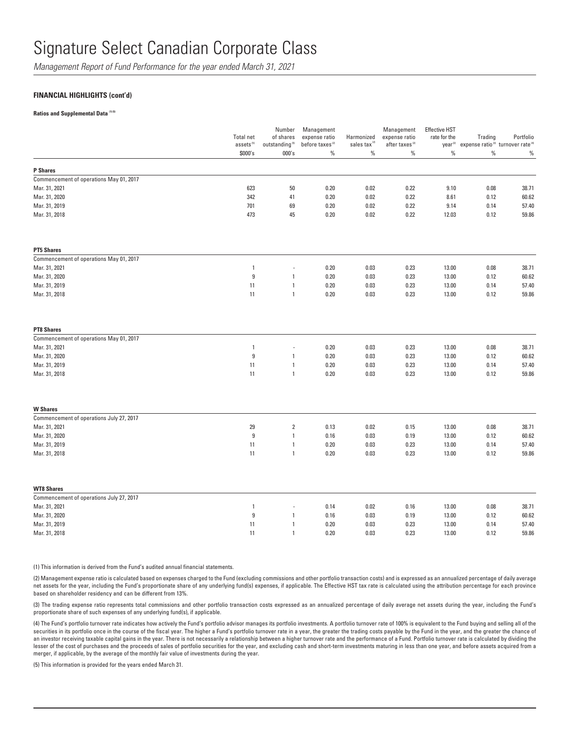*Management Report of Fund Performance for the year ended March 31, 2021*

### **FINANCIAL HIGHLIGHTS (cont'd)**

**Ratios and Supplemental Data (1) (5)** 

|                                          | Total net<br>assets <sup>(5)</sup><br>\$000's | Number<br>of shares<br>outstanding <sup>(5)</sup><br>000's | Management<br>expense ratio<br>before taxes <sup>(2)</sup><br>$\%$ | Harmonized<br>sales tax <sup>(2)</sup><br>$\%$ | Management<br>expense ratio<br>after taxes <sup>(2)</sup><br>$\%$ | <b>Effective HST</b><br>rate for the<br>year <sup>(2)</sup><br>$\%$ | Trading<br>$\%$ | Portfolio<br>expense ratio <sup>(3)</sup> turnover rate <sup>(4)</sup><br>$\%$ |
|------------------------------------------|-----------------------------------------------|------------------------------------------------------------|--------------------------------------------------------------------|------------------------------------------------|-------------------------------------------------------------------|---------------------------------------------------------------------|-----------------|--------------------------------------------------------------------------------|
|                                          |                                               |                                                            |                                                                    |                                                |                                                                   |                                                                     |                 |                                                                                |
| <b>P</b> Shares                          |                                               |                                                            |                                                                    |                                                |                                                                   |                                                                     |                 |                                                                                |
| Commencement of operations May 01, 2017  |                                               |                                                            |                                                                    |                                                |                                                                   |                                                                     |                 |                                                                                |
| Mar. 31, 2021                            | 623                                           | 50                                                         | 0.20                                                               | 0.02                                           | 0.22                                                              | 9.10                                                                | 0.08            | 38.71                                                                          |
| Mar. 31, 2020                            | 342                                           | 41                                                         | 0.20                                                               | 0.02                                           | 0.22                                                              | 8.61                                                                | 0.12            | 60.62                                                                          |
| Mar. 31, 2019                            | 701                                           | 69                                                         | 0.20                                                               | 0.02                                           | 0.22                                                              | 9.14                                                                | 0.14            | 57.40                                                                          |
| Mar. 31, 2018                            | 473                                           | 45                                                         | 0.20                                                               | 0.02                                           | 0.22                                                              | 12.03                                                               | 0.12            | 59.86                                                                          |
| <b>PT5 Shares</b>                        |                                               |                                                            |                                                                    |                                                |                                                                   |                                                                     |                 |                                                                                |
| Commencement of operations May 01, 2017  |                                               |                                                            |                                                                    |                                                |                                                                   |                                                                     |                 |                                                                                |
| Mar. 31, 2021                            | $\overline{1}$                                | Ĭ.                                                         | 0.20                                                               | 0.03                                           | 0.23                                                              | 13.00                                                               | 0.08            | 38.71                                                                          |
| Mar. 31, 2020                            | $\boldsymbol{9}$                              | $\mathbf{1}$                                               | 0.20                                                               | 0.03                                           | 0.23                                                              | 13.00                                                               | 0.12            | 60.62                                                                          |
| Mar. 31, 2019                            | 11                                            | $\mathbf{1}$                                               | 0.20                                                               | 0.03                                           | 0.23                                                              | 13.00                                                               | 0.14            | 57.40                                                                          |
| Mar. 31, 2018                            | 11                                            | $\overline{1}$                                             | 0.20                                                               | 0.03                                           | 0.23                                                              | 13.00                                                               | 0.12            | 59.86                                                                          |
| <b>PT8 Shares</b>                        |                                               |                                                            |                                                                    |                                                |                                                                   |                                                                     |                 |                                                                                |
| Commencement of operations May 01, 2017  |                                               |                                                            |                                                                    |                                                |                                                                   |                                                                     |                 |                                                                                |
| Mar. 31, 2021                            | $\overline{1}$                                | ÷,                                                         | 0.20                                                               | 0.03                                           | 0.23                                                              | 13.00                                                               | 0.08            | 38.71                                                                          |
| Mar. 31, 2020                            | $\boldsymbol{9}$                              | 1                                                          | 0.20                                                               | 0.03                                           | 0.23                                                              | 13.00                                                               | 0.12            | 60.62                                                                          |
| Mar. 31, 2019                            | 11                                            | $\mathbf{1}$                                               | 0.20                                                               | 0.03                                           | 0.23                                                              | 13.00                                                               | 0.14            | 57.40                                                                          |
| Mar. 31, 2018                            | 11                                            | $\mathbf{1}$                                               | 0.20                                                               | 0.03                                           | 0.23                                                              | 13.00                                                               | 0.12            | 59.86                                                                          |
| <b>W Shares</b>                          |                                               |                                                            |                                                                    |                                                |                                                                   |                                                                     |                 |                                                                                |
| Commencement of operations July 27, 2017 |                                               |                                                            |                                                                    |                                                |                                                                   |                                                                     |                 |                                                                                |
| Mar. 31, 2021                            | 29                                            | $\overline{2}$                                             | 0.13                                                               | 0.02                                           | 0.15                                                              | 13.00                                                               | 0.08            | 38.71                                                                          |
| Mar. 31, 2020                            | $\boldsymbol{9}$                              | $\overline{1}$                                             | 0.16                                                               | 0.03                                           | 0.19                                                              | 13.00                                                               | 0.12            | 60.62                                                                          |
| Mar. 31, 2019                            | 11                                            | $\mathbf{1}$                                               | 0.20                                                               | 0.03                                           | 0.23                                                              | 13.00                                                               | 0.14            | 57.40                                                                          |
| Mar. 31, 2018                            | 11                                            | $\overline{1}$                                             | 0.20                                                               | 0.03                                           | 0.23                                                              | 13.00                                                               | 0.12            | 59.86                                                                          |
| <b>WT8 Shares</b>                        |                                               |                                                            |                                                                    |                                                |                                                                   |                                                                     |                 |                                                                                |
| Commencement of operations July 27, 2017 |                                               |                                                            |                                                                    |                                                |                                                                   |                                                                     |                 |                                                                                |
| Mar. 31, 2021                            | $\overline{1}$                                | ÷,                                                         | 0.14                                                               | 0.02                                           | 0.16                                                              | 13.00                                                               | 0.08            | 38.71                                                                          |
| Mar. 31, 2020                            | 9                                             | $\mathbf{1}$                                               | 0.16                                                               | 0.03                                           | 0.19                                                              | 13.00                                                               | 0.12            | 60.62                                                                          |
| Mar. 31, 2019                            | 11                                            | $\mathbf{1}$                                               | 0.20                                                               | 0.03                                           | 0.23                                                              | 13.00                                                               | 0.14            | 57.40                                                                          |
| Mar. 31, 2018                            | 11                                            | $\mathbf{1}$                                               | 0.20                                                               | 0.03                                           | 0.23                                                              | 13.00                                                               | 0.12            | 59.86                                                                          |

(1) This information is derived from the Fund's audited annual financial statements.

(2) Management expense ratio is calculated based on expenses charged to the Fund (excluding commissions and other portfolio transaction costs) and is expressed as an annualized percentage of daily average net assets for the year, including the Fund's proportionate share of any underlying fund(s) expenses, if applicable. The Effective HST tax rate is calculated using the attribution percentage for each province based on shareholder residency and can be different from 13%.

(3) The trading expense ratio represents total commissions and other portfolio transaction costs expressed as an annualized percentage of daily average net assets during the year, including the Fund's proportionate share of such expenses of any underlying fund(s), if applicable.

(4) The Fund's portfolio turnover rate indicates how actively the Fund's portfolio advisor manages its portfolio investments. A portfolio turnover rate of 100% is equivalent to the Fund buying and selling all of the securities in its portfolio once in the course of the fiscal year. The higher a Fund's portfolio turnover rate in a year, the greater the trading costs payable by the Fund in the year, and the greater the chance of an investor receiving taxable capital gains in the year. There is not necessarily a relationship between a higher turnover rate and the performance of a Fund. Portfolio turnover rate is calculated by dividing the lesser of the cost of purchases and the proceeds of sales of portfolio securities for the year, and excluding cash and short-term investments maturing in less than one year, and before assets acquired from a merger, if applicable, by the average of the monthly fair value of investments during the year.

(5) This information is provided for the years ended March 31.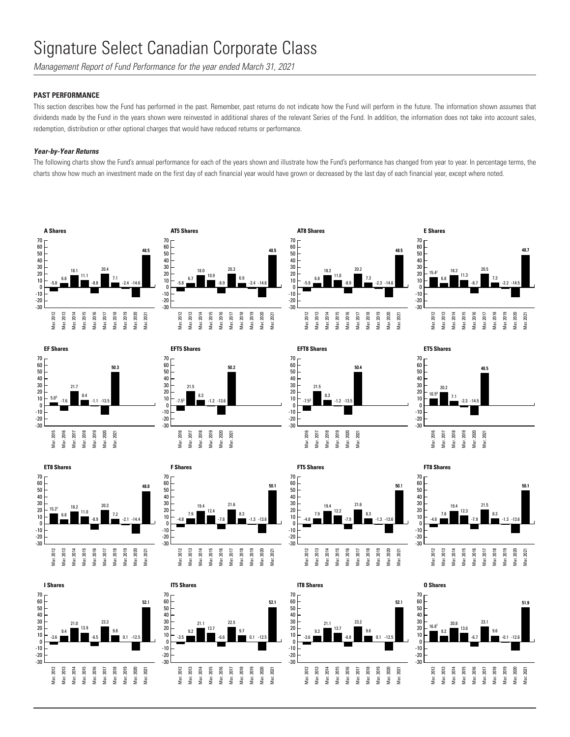*Management Report of Fund Performance for the year ended March 31, 2021*

## **PAST PERFORMANCE**

This section describes how the Fund has performed in the past. Remember, past returns do not indicate how the Fund will perform in the future. The information shown assumes that dividends made by the Fund in the years shown were reinvested in additional shares of the relevant Series of the Fund. In addition, the information does not take into account sales, redemption, distribution or other optional charges that would have reduced returns or performance.

### *Year-by-Year Returns*

The following charts show the Fund's annual performance for each of the years shown and illustrate how the Fund's performance has changed from year to year. In percentage terms, the charts show how much an investment made on the first day of each financial year would have grown or decreased by the last day of each financial year, except where noted.















![](_page_11_Figure_13.jpeg)

![](_page_11_Figure_14.jpeg)

![](_page_11_Figure_15.jpeg)

Mar. 2015 Mar. 2016 Mar. 2017 Mar. 2018 Mar. 2019 Mar. 2020 Mar. 2021

13.7 -6.6 22.5 9.7  $0.1 - 12.5$ 

52.1

**F Shares**

![](_page_11_Figure_16.jpeg)

![](_page_11_Figure_17.jpeg)

**FT5 Shares**

70

![](_page_11_Figure_18.jpeg)

![](_page_11_Figure_19.jpeg)

Mar. 2021

50.1

![](_page_11_Figure_20.jpeg)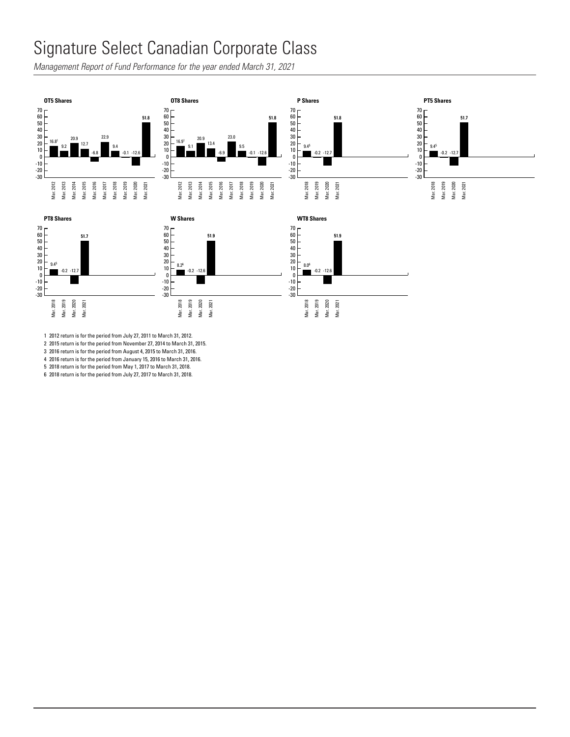#### Signature Select Canadian Corporate Class  $\mathsf{u}$  $\frac{1}{2}$

Management Report of Fund Performance for the year ended March 31, 2021<br>

![](_page_12_Figure_2.jpeg)

Mar. 2012 Mar. 2013 Mar. 2014 Mar. 2015 Mar. 2016 Mar. 2017 Mar. 2018 Mar. 2019 Mar. 2020 Mar. 2021 Mar. 2012 Mar. 2013 Mar. 2014 Mar. 2015 Mar. 2016 Mar. 2017 Mar. 2018 Mar. 2019 Mar. 2020 Mar. 2021

1 2012 return is for the period from July 27, 2011 to March 31, 2012.

2 2015 return is for the period from November 27, 2014 to March 31, 2015. 3 2016 return is for the period from August 4, 2015 to March 31, 2016.

4 2016 return is for the period from January 15, 2016 to March 31, 2016.

5 2018 return is for the period from May 1, 2017 to March 31, 2018.

6 2018 return is for the period from July 27, 2017 to March 31, 2018.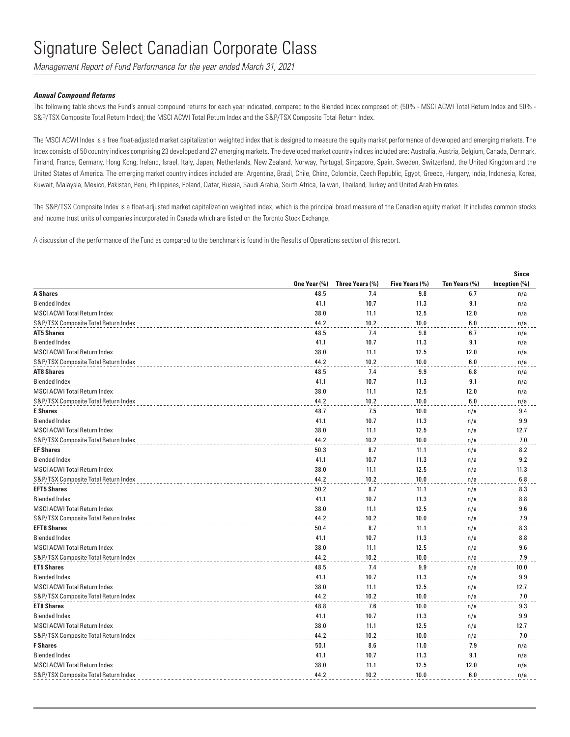*Management Report of Fund Performance for the year ended March 31, 2021*

### *Annual Compound Returns*

The following table shows the Fund's annual compound returns for each year indicated, compared to the Blended Index composed of: (50% - MSCI ACWI Total Return Index and 50% - S&P/TSX Composite Total Return Index); the MSCI ACWI Total Return Index and the S&P/TSX Composite Total Return Index.

The MSCI ACWI Index is a free float-adjusted market capitalization weighted index that is designed to measure the equity market performance of developed and emerging markets. The Index consists of 50 country indices comprising 23 developed and 27 emerging markets. The developed market country indices included are: Australia, Austria, Belgium, Canada, Denmark, Finland, France, Germany, Hong Kong, Ireland, Israel, Italy, Japan, Netherlands, New Zealand, Norway, Portugal, Singapore, Spain, Sweden, Switzerland, the United Kingdom and the United States of America. The emerging market country indices included are: Argentina, Brazil, Chile, China, Colombia, Czech Republic, Egypt, Greece, Hungary, India, Indonesia, Korea, Kuwait, Malaysia, Mexico, Pakistan, Peru, Philippines, Poland, Qatar, Russia, Saudi Arabia, South Africa, Taiwan, Thailand, Turkey and United Arab Emirates.

The S&P/TSX Composite Index is a float-adjusted market capitalization weighted index, which is the principal broad measure of the Canadian equity market. It includes common stocks and income trust units of companies incorporated in Canada which are listed on the Toronto Stock Exchange.

A discussion of the performance of the Fund as compared to the benchmark is found in the Results of Operations section of this report.

|                                      |              |                 |                |               | Since         |
|--------------------------------------|--------------|-----------------|----------------|---------------|---------------|
|                                      | One Year (%) | Three Years (%) | Five Years (%) | Ten Years (%) | Inception (%) |
| <b>A Shares</b>                      | 48.5         | 7.4             | 9.8            | 6.7           | n/a           |
| <b>Blended Index</b>                 | 41.1         | 10.7            | 11.3           | 9.1           | n/a           |
| <b>MSCI ACWI Total Return Index</b>  | 38.0         | 11.1            | 12.5           | 12.0          | n/a           |
| S&P/TSX Composite Total Return Index | 44.2         | 10.2            | 10.0           | 6.0           | n/a           |
| <b>AT5 Shares</b>                    | 48.5         | 7.4             | 9.8            | 6.7           | n/a           |
| <b>Blended Index</b>                 | 41.1         | 10.7            | 11.3           | 9.1           | n/a           |
| <b>MSCI ACWI Total Return Index</b>  | 38.0         | 11.1            | 12.5           | 12.0          | n/a           |
| S&P/TSX Composite Total Return Index | 44.2         | 10.2            | 10.0           | 6.0           | n/a           |
| <b>AT8 Shares</b>                    | 48.5         | 7.4             | 9.9            | 6.8           | n/a           |
| <b>Blended Index</b>                 | 41.1         | 10.7            | 11.3           | 9.1           | n/a           |
| <b>MSCI ACWI Total Return Index</b>  | 38.0         | 11.1            | 12.5           | 12.0          | n/a           |
| S&P/TSX Composite Total Return Index | 44.2         | 10.2            | 10.0           | 6.0           | n/a           |
| <b>E</b> Shares                      | 48.7         | 7.5             | 10.0           | n/a           | 9.4           |
| <b>Blended Index</b>                 | 41.1         | 10.7            | 11.3           | n/a           | 9.9           |
| <b>MSCI ACWI Total Return Index</b>  | 38.0         | 11.1            | 12.5           | n/a           | 12.7          |
| S&P/TSX Composite Total Return Index | 44.2         | 10.2            | 10.0           | n/a           | 7.0           |
| <b>EF Shares</b>                     | 50.3         | 8.7             | 11.1           | n/a           | 8.2           |
| <b>Blended Index</b>                 | 41.1         | 10.7            | 11.3           | n/a           | 9.2           |
| MSCI ACWI Total Return Index         | 38.0         | 11.1            | 12.5           | n/a           | 11.3          |
| S&P/TSX Composite Total Return Index | 44.2         | 10.2            | 10.0           | n/a           | 6.8           |
| <b>EFT5 Shares</b>                   | 50.2         | 8.7             | 11.1           | n/a           | 8.3           |
| <b>Blended Index</b>                 | 41.1         | 10.7            | 11.3           | n/a           | 8.8           |
| <b>MSCI ACWI Total Return Index</b>  | 38.0         | 11.1            | 12.5           | n/a           | 9.6           |
| S&P/TSX Composite Total Return Index | 44.2         | 10.2            | 10.0           | n/a           | 7.9           |
| <b>EFT8 Shares</b>                   | 50.4         | 8.7             | 11.1           | n/a           | 8.3           |
| <b>Blended Index</b>                 | 41.1         | 10.7            | 11.3           | n/a           | 8.8           |
| <b>MSCI ACWI Total Return Index</b>  | 38.0         | 11.1            | 12.5           | n/a           | 9.6           |
| S&P/TSX Composite Total Return Index | 44.2         | 10.2            | 10.0           | n/a           | 7.9           |
| <b>ET5 Shares</b>                    | 48.5         | 7.4             | 9.9            | n/a           | 10.0          |
| <b>Blended Index</b>                 | 41.1         | 10.7            | 11.3           | n/a           | 9.9           |
| <b>MSCI ACWI Total Return Index</b>  | 38.0         | 11.1            | 12.5           | n/a           | 12.7          |
| S&P/TSX Composite Total Return Index | 44.2         | 10.2            | 10.0           | n/a           | 7.0           |
| <b>ET8 Shares</b>                    | 48.8         | 7.6             | 10.0           | n/a           | 9.3           |
| <b>Blended Index</b>                 | 41.1         | 10.7            | 11.3           | n/a           | 9.9           |
| <b>MSCI ACWI Total Return Index</b>  | 38.0         | 11.1            | 12.5           | n/a           | 12.7          |
| S&P/TSX Composite Total Return Index | 44.2         | 10.2            | 10.0           | n/a           | 7.0           |
| <b>F</b> Shares                      | 50.1         | 8.6             | 11.0           | 7.9           | n/a           |
| <b>Blended Index</b>                 | 41.1         | 10.7            | 11.3           | 9.1           | n/a           |
| <b>MSCI ACWI Total Return Index</b>  | 38.0         | 11.1            | 12.5           | 12.0          | n/a           |
| S&P/TSX Composite Total Return Index | 44.2         | 10.2            | 10.0           | 6.0           | n/a           |
|                                      |              |                 |                |               |               |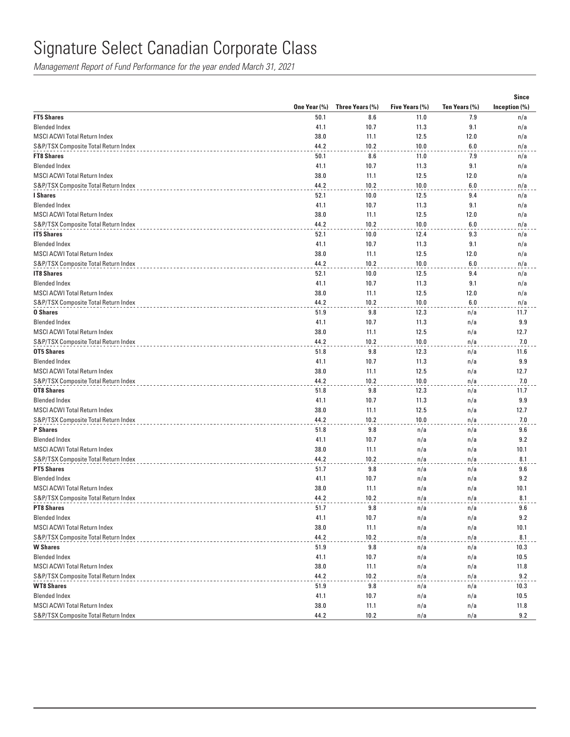*Management Report of Fund Performance for the year ended March 31, 2021*

|                                      |              |                 |                |               | <b>Since</b>  |
|--------------------------------------|--------------|-----------------|----------------|---------------|---------------|
|                                      | One Year (%) | Three Years (%) | Five Years (%) | Ten Years (%) | Inception (%) |
| <b>FT5 Shares</b>                    | 50.1         | 8.6             | 11.0           | 7.9           | n/a           |
| <b>Blended Index</b>                 | 41.1         | 10.7            | 11.3           | 9.1           | n/a           |
| <b>MSCI ACWI Total Return Index</b>  | 38.0         | 11.1            | 12.5           | 12.0          | n/a           |
| S&P/TSX Composite Total Return Index | 44.2         | 10.2            | 10.0           | 6.0           | n/a           |
| <b>FT8 Shares</b>                    | 50.1         | 8.6             | 11.0           | 7.9           | n/a           |
| <b>Blended Index</b>                 | 41.1         | 10.7            | 11.3           | 9.1           | n/a           |
| MSCI ACWI Total Return Index         | 38.0         | 11.1            | 12.5           | 12.0          | n/a           |
| S&P/TSX Composite Total Return Index | 44.2         | 10.2            | 10.0           | 6.0           | n/a           |
| I Shares                             | 52.1         | 10.0            | 12.5           | 9.4           | n/a           |
| <b>Blended Index</b>                 | 41.1         | 10.7            | 11.3           | 9.1           | n/a           |
| <b>MSCI ACWI Total Return Index</b>  | 38.0         | 11.1            | 12.5           | 12.0          | n/a           |
| S&P/TSX Composite Total Return Index | 44.2         | 10.2            | 10.0           | 6.0           | n/a           |
| <b>IT5 Shares</b>                    | 52.1         | 10.0            | 12.4           | 9.3           | n/a           |
| <b>Blended Index</b>                 | 41.1         | 10.7            | 11.3           | 9.1           | n/a           |
| MSCI ACWI Total Return Index         | 38.0         | 11.1            | 12.5           | 12.0          | n/a           |
| S&P/TSX Composite Total Return Index | 44.2         | 10.2            | 10.0           | 6.0           | n/a           |
| <b>IT8 Shares</b>                    | 52.1         | 10.0            | 12.5           | 9.4           | n/a           |
| <b>Blended Index</b>                 | 41.1         | 10.7            | 11.3           | 9.1           | n/a           |
| <b>MSCI ACWI Total Return Index</b>  | 38.0         | 11.1            | 12.5           | 12.0          | n/a           |
| S&P/TSX Composite Total Return Index | 44.2         | 10.2            | 10.0           | 6.0           | n/a           |
| 0 Shares                             | 51.9         | 9.8             | 12.3           | n/a           | 11.7          |
| <b>Blended Index</b>                 | 41.1         | 10.7            | 11.3           | n/a           | 9.9           |
| <b>MSCI ACWI Total Return Index</b>  | 38.0         | 11.1            | 12.5           | n/a           | 12.7          |
| S&P/TSX Composite Total Return Index | 44.2         | 10.2            | 10.0           | n/a           | 7.0           |
| <b>OT5 Shares</b>                    | 51.8         | 9.8             | 12.3           | n/a           | 11.6          |
| <b>Blended Index</b>                 | 41.1         | 10.7            | 11.3           | n/a           | 9.9           |
| <b>MSCI ACWI Total Return Index</b>  | 38.0         | 11.1            | 12.5           | n/a           | 12.7          |
| S&P/TSX Composite Total Return Index | 44.2         | 10.2            | 10.0           | n/a           | 7.0           |
| <b>OT8 Shares</b>                    | 51.8         | 9.8             | 12.3           | n/a           | 11.7          |
| <b>Blended Index</b>                 | 41.1         | 10.7            | 11.3           | n/a           | 9.9           |
| MSCI ACWI Total Return Index         | 38.0         | 11.1            | 12.5           | n/a           | 12.7          |
| S&P/TSX Composite Total Return Index | 44.2         | 10.2            | 10.0           | n/a           | 7.0           |
| <b>P</b> Shares                      | 51.8         | 9.8             | n/a            | n/a           | 9.6           |
| <b>Blended Index</b>                 | 41.1         | 10.7            | n/a            | n/a           | 9.2           |
| <b>MSCI ACWI Total Return Index</b>  | 38.0         | 11.1            | n/a            | n/a           | 10.1          |
| S&P/TSX Composite Total Return Index | 44.2         | 10.2            | n/a            | n/a           | 8.1           |
| <b>PT5 Shares</b>                    | 51.7         | 9.8             | n/a            | n/a           | 9.6           |
| <b>Blended Index</b>                 | 41.1         | 10.7            | n/a            | n/a           | 9.2           |
| MSCI ACWI Total Return Index         | 38.0         | 11.1            | n/a            | n/a           | 10.1          |
| S&P/TSX Composite Total Return Index | 44.2         | 10.2            | n/a            | n/a           | 8.1           |
| <b>PT8 Shares</b>                    | 51.7         | 9.8             | n/a            | n/a           | 9.6           |
| <b>Blended Index</b>                 | 41.1         | 10.7            | n/a            | n/a           | 9.2           |
| MSCI ACWI Total Return Index         | 38.0         | 11.1            | n/a            | n/a           | 10.1          |
| S&P/TSX Composite Total Return Index | 44.2         | 10.2            | n/a            | n/a           | 8.1           |
| <b>W</b> Shares                      | 51.9         | 9.8             | n/a            | n/a           | 10.3          |
| <b>Blended Index</b>                 | 41.1         | 10.7            | n/a            | n/a           | 10.5          |
| MSCI ACWI Total Return Index         | 38.0         | 11.1            | n/a            | n/a           | 11.8          |
| S&P/TSX Composite Total Return Index | 44.2         | 10.2            | n/a            | n/a           | 9.2           |
| <b>WT8 Shares</b>                    | 51.9         | 9.8             | n/a            | n/a           | 10.3          |
| <b>Blended Index</b>                 | 41.1         | 10.7            | n/a            | n/a           | 10.5          |
| <b>MSCI ACWI Total Return Index</b>  | 38.0         | 11.1            | n/a            | n/a           | 11.8          |
| S&P/TSX Composite Total Return Index | 44.2         | 10.2            | n/a            | n/a           | 9.2           |